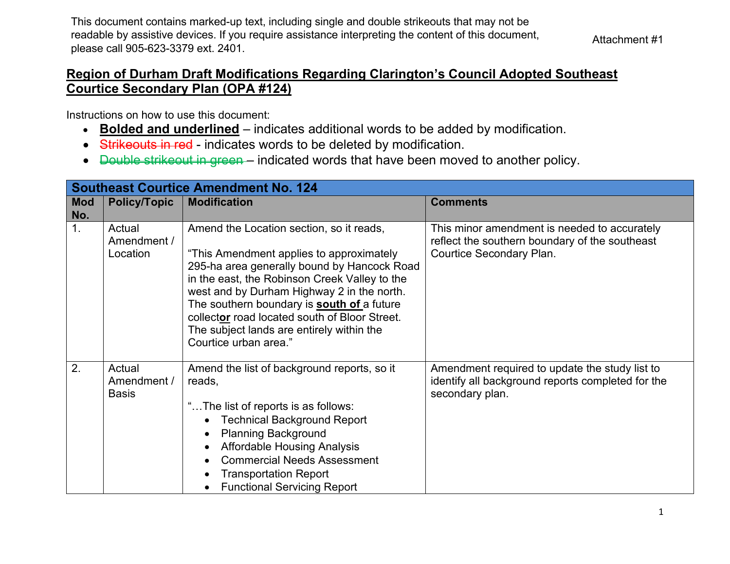This document contains marked-up text, including single and double strikeouts that may not be readable by assistive devices. If you require assistance interpreting the content of this document, please call 905-623-3379 ext. 2401.

## **Region of Durham Draft Modifications Regarding Clarington's Council Adopted Southeast Courtice Secondary Plan (OPA #124)**

Instructions on how to use this document:

- **Bolded and underlined** indicates additional words to be added by modification.
- Strikeouts in red indicates words to be deleted by modification.
- <del>Double strikeout in green</del> indicated words that have been moved to another policy.

|                   | <b>Southeast Courtice Amendment No. 124</b> |                                                                                                                                                                                                                                                                                                                                                                                                         |                                                                                                                            |  |
|-------------------|---------------------------------------------|---------------------------------------------------------------------------------------------------------------------------------------------------------------------------------------------------------------------------------------------------------------------------------------------------------------------------------------------------------------------------------------------------------|----------------------------------------------------------------------------------------------------------------------------|--|
| <b>Mod</b><br>No. | <b>Policy/Topic</b>                         | <b>Modification</b>                                                                                                                                                                                                                                                                                                                                                                                     | <b>Comments</b>                                                                                                            |  |
| 1.                | Actual<br>Amendment /<br>Location           | Amend the Location section, so it reads,<br>"This Amendment applies to approximately<br>295-ha area generally bound by Hancock Road<br>in the east, the Robinson Creek Valley to the<br>west and by Durham Highway 2 in the north.<br>The southern boundary is south of a future<br>collector road located south of Bloor Street.<br>The subject lands are entirely within the<br>Courtice urban area." | This minor amendment is needed to accurately<br>reflect the southern boundary of the southeast<br>Courtice Secondary Plan. |  |
| 2.                | Actual<br>Amendment /<br><b>Basis</b>       | Amend the list of background reports, so it<br>reads,<br>"The list of reports is as follows:<br><b>Technical Background Report</b><br><b>Planning Background</b><br><b>Affordable Housing Analysis</b><br><b>Commercial Needs Assessment</b><br><b>Transportation Report</b><br><b>Functional Servicing Report</b>                                                                                      | Amendment required to update the study list to<br>identify all background reports completed for the<br>secondary plan.     |  |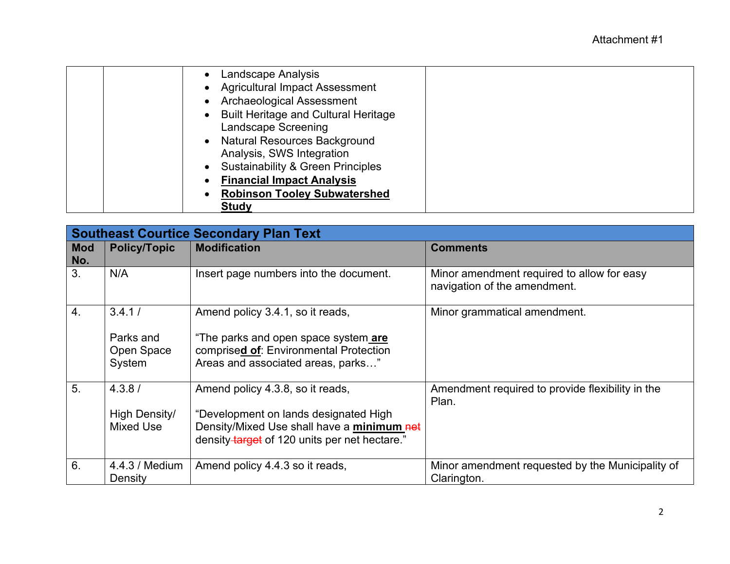| Landscape Analysis<br><b>Agricultural Impact Assessment</b> |
|-------------------------------------------------------------|
|                                                             |
| <b>Archaeological Assessment</b>                            |
| <b>Built Heritage and Cultural Heritage</b>                 |
| <b>Landscape Screening</b>                                  |
| <b>Natural Resources Background</b>                         |
| Analysis, SWS Integration                                   |
| <b>Sustainability &amp; Green Principles</b>                |
| <b>Financial Impact Analysis</b>                            |
| <b>Robinson Tooley Subwatershed</b>                         |
| <b>Study</b>                                                |

|                   |                                             | <b>Southeast Courtice Secondary Plan Text</b>                                                                                                                            |                                                                            |
|-------------------|---------------------------------------------|--------------------------------------------------------------------------------------------------------------------------------------------------------------------------|----------------------------------------------------------------------------|
| <b>Mod</b><br>No. | <b>Policy/Topic</b>                         | <b>Modification</b>                                                                                                                                                      | <b>Comments</b>                                                            |
| 3.                | N/A                                         | Insert page numbers into the document.                                                                                                                                   | Minor amendment required to allow for easy<br>navigation of the amendment. |
| $\overline{4}$ .  | 3.4.1/<br>Parks and<br>Open Space<br>System | Amend policy 3.4.1, so it reads,<br>"The parks and open space system are<br>comprised of: Environmental Protection<br>Areas and associated areas, parks"                 | Minor grammatical amendment.                                               |
| 5.                | 4.3.8/<br>High Density/<br><b>Mixed Use</b> | Amend policy 4.3.8, so it reads,<br>"Development on lands designated High<br>Density/Mixed Use shall have a minimum net<br>density target of 120 units per net hectare." | Amendment required to provide flexibility in the<br>Plan.                  |
| 6.                | 4.4.3 / Medium<br>Density                   | Amend policy 4.4.3 so it reads,                                                                                                                                          | Minor amendment requested by the Municipality of<br>Clarington.            |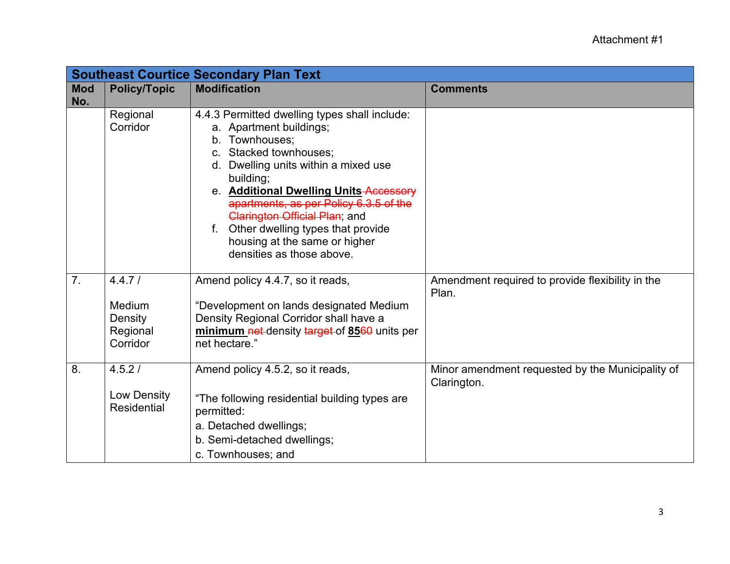|            |                                   | <b>Southeast Courtice Secondary Plan Text</b>               |                                                                 |
|------------|-----------------------------------|-------------------------------------------------------------|-----------------------------------------------------------------|
| <b>Mod</b> | <b>Policy/Topic</b>               | <b>Modification</b>                                         | <b>Comments</b>                                                 |
| No.        |                                   |                                                             |                                                                 |
|            | Regional                          | 4.4.3 Permitted dwelling types shall include:               |                                                                 |
|            | Corridor                          | a. Apartment buildings;                                     |                                                                 |
|            |                                   | b. Townhouses;                                              |                                                                 |
|            |                                   | c. Stacked townhouses:                                      |                                                                 |
|            |                                   | d. Dwelling units within a mixed use<br>building;           |                                                                 |
|            |                                   | e. Additional Dwelling Units-Accessory                      |                                                                 |
|            |                                   | apartments, as per Policy 6.3.5 of the                      |                                                                 |
|            |                                   | <b>Clarington Official Plan; and</b>                        |                                                                 |
|            |                                   | f. Other dwelling types that provide                        |                                                                 |
|            |                                   | housing at the same or higher                               |                                                                 |
|            |                                   | densities as those above.                                   |                                                                 |
|            |                                   |                                                             |                                                                 |
| 7.         | 4.4.7/                            | Amend policy 4.4.7, so it reads,                            | Amendment required to provide flexibility in the<br>Plan.       |
|            | Medium                            | "Development on lands designated Medium                     |                                                                 |
|            | Density                           | Density Regional Corridor shall have a                      |                                                                 |
|            | Regional                          | minimum net-density target-of 8560 units per                |                                                                 |
|            | Corridor                          | net hectare."                                               |                                                                 |
|            |                                   |                                                             |                                                                 |
| 8.         | 4.5.2/                            | Amend policy 4.5.2, so it reads,                            | Minor amendment requested by the Municipality of<br>Clarington. |
|            | Low Density<br><b>Residential</b> | "The following residential building types are<br>permitted: |                                                                 |
|            |                                   | a. Detached dwellings;                                      |                                                                 |
|            |                                   | b. Semi-detached dwellings;                                 |                                                                 |
|            |                                   | c. Townhouses; and                                          |                                                                 |
|            |                                   |                                                             |                                                                 |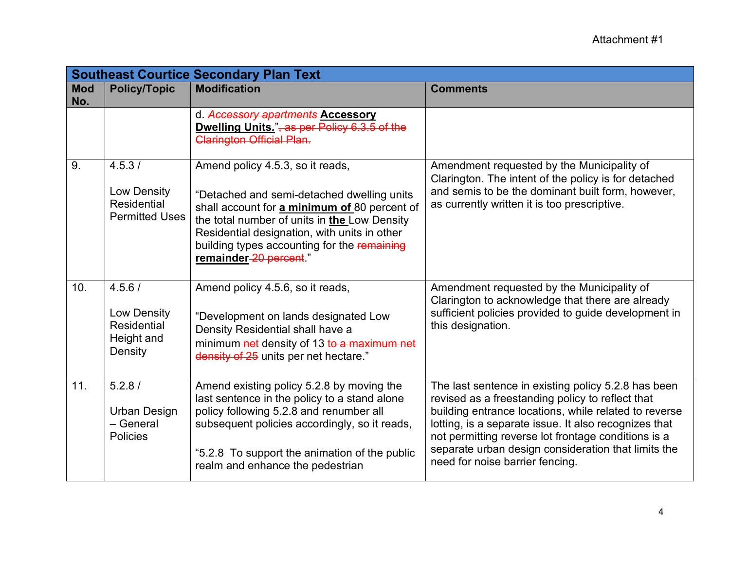|                   |                                                               | <b>Southeast Courtice Secondary Plan Text</b>                                                                                                                                                                                                                                                           |                                                                                                                                                                                                                                                                                                                                                                            |
|-------------------|---------------------------------------------------------------|---------------------------------------------------------------------------------------------------------------------------------------------------------------------------------------------------------------------------------------------------------------------------------------------------------|----------------------------------------------------------------------------------------------------------------------------------------------------------------------------------------------------------------------------------------------------------------------------------------------------------------------------------------------------------------------------|
| <b>Mod</b><br>No. | <b>Policy/Topic</b>                                           | <b>Modification</b>                                                                                                                                                                                                                                                                                     | <b>Comments</b>                                                                                                                                                                                                                                                                                                                                                            |
|                   |                                                               | d. Accessory apartments Accessory<br>Dwelling Units.", as per Policy 6.3.5 of the<br><b>Clarington Official Plan.</b>                                                                                                                                                                                   |                                                                                                                                                                                                                                                                                                                                                                            |
| 9.                | 4.5.3/<br>Low Density<br>Residential<br><b>Permitted Uses</b> | Amend policy 4.5.3, so it reads,<br>"Detached and semi-detached dwelling units<br>shall account for a minimum of 80 percent of<br>the total number of units in the Low Density<br>Residential designation, with units in other<br>building types accounting for the remaining<br>remainder-20 percent." | Amendment requested by the Municipality of<br>Clarington. The intent of the policy is for detached<br>and semis to be the dominant built form, however,<br>as currently written it is too prescriptive.                                                                                                                                                                    |
| 10.               | 4.5.6/<br>Low Density<br>Residential<br>Height and<br>Density | Amend policy 4.5.6, so it reads,<br>"Development on lands designated Low<br>Density Residential shall have a<br>minimum net density of 13 to a maximum net<br>density of 25 units per net hectare."                                                                                                     | Amendment requested by the Municipality of<br>Clarington to acknowledge that there are already<br>sufficient policies provided to guide development in<br>this designation.                                                                                                                                                                                                |
| 11.               | 5.2.8/<br><b>Urban Design</b><br>- General<br><b>Policies</b> | Amend existing policy 5.2.8 by moving the<br>last sentence in the policy to a stand alone<br>policy following 5.2.8 and renumber all<br>subsequent policies accordingly, so it reads,<br>"5.2.8 To support the animation of the public<br>realm and enhance the pedestrian                              | The last sentence in existing policy 5.2.8 has been<br>revised as a freestanding policy to reflect that<br>building entrance locations, while related to reverse<br>lotting, is a separate issue. It also recognizes that<br>not permitting reverse lot frontage conditions is a<br>separate urban design consideration that limits the<br>need for noise barrier fencing. |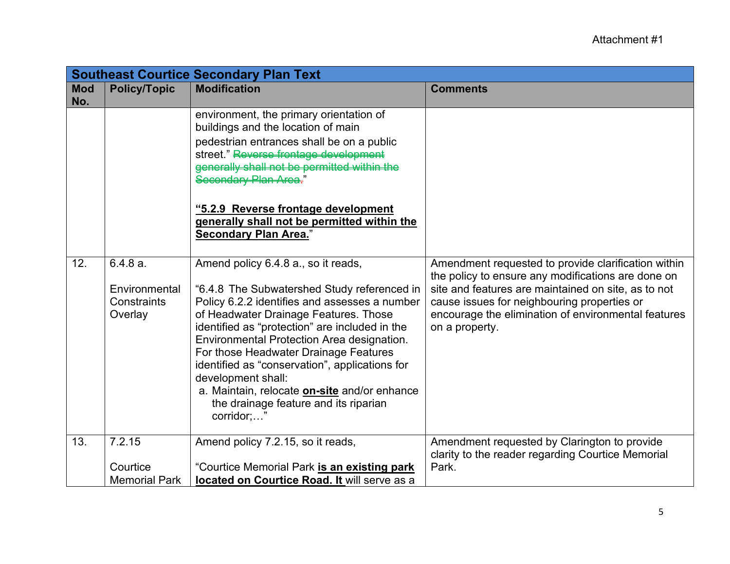|                   |                                                       | <b>Southeast Courtice Secondary Plan Text</b>                                                                                                                                                                                                                                                                                                                                                                                                                                                               |                                                                                                                                                                                                                                                                                          |
|-------------------|-------------------------------------------------------|-------------------------------------------------------------------------------------------------------------------------------------------------------------------------------------------------------------------------------------------------------------------------------------------------------------------------------------------------------------------------------------------------------------------------------------------------------------------------------------------------------------|------------------------------------------------------------------------------------------------------------------------------------------------------------------------------------------------------------------------------------------------------------------------------------------|
| <b>Mod</b><br>No. | <b>Policy/Topic</b>                                   | <b>Modification</b>                                                                                                                                                                                                                                                                                                                                                                                                                                                                                         | <b>Comments</b>                                                                                                                                                                                                                                                                          |
|                   |                                                       | environment, the primary orientation of<br>buildings and the location of main<br>pedestrian entrances shall be on a public<br>street." Reverse frontage development<br>generally shall not be permitted within the<br>Secondary Plan Area <del>.</del> "<br>"5.2.9 Reverse frontage development<br>generally shall not be permitted within the<br><b>Secondary Plan Area.</b> "                                                                                                                             |                                                                                                                                                                                                                                                                                          |
| 12.               | $6.4.8a$ .<br>Environmental<br>Constraints<br>Overlay | Amend policy 6.4.8 a., so it reads,<br>"6.4.8 The Subwatershed Study referenced in<br>Policy 6.2.2 identifies and assesses a number<br>of Headwater Drainage Features. Those<br>identified as "protection" are included in the<br>Environmental Protection Area designation.<br>For those Headwater Drainage Features<br>identified as "conservation", applications for<br>development shall:<br>a. Maintain, relocate <b>on-site</b> and/or enhance<br>the drainage feature and its riparian<br>corridor;" | Amendment requested to provide clarification within<br>the policy to ensure any modifications are done on<br>site and features are maintained on site, as to not<br>cause issues for neighbouring properties or<br>encourage the elimination of environmental features<br>on a property. |
| 13.               | 7.2.15<br>Courtice<br><b>Memorial Park</b>            | Amend policy 7.2.15, so it reads,<br>"Courtice Memorial Park is an existing park<br>located on Courtice Road. It will serve as a                                                                                                                                                                                                                                                                                                                                                                            | Amendment requested by Clarington to provide<br>clarity to the reader regarding Courtice Memorial<br>Park.                                                                                                                                                                               |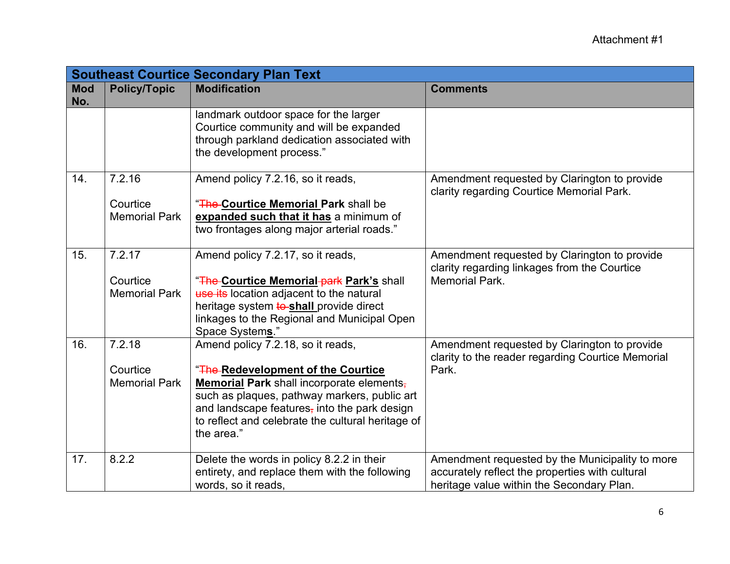|                   |                                            | <b>Southeast Courtice Secondary Plan Text</b>                                                                                                                                                                                                                                           |                                                                                                                                                 |
|-------------------|--------------------------------------------|-----------------------------------------------------------------------------------------------------------------------------------------------------------------------------------------------------------------------------------------------------------------------------------------|-------------------------------------------------------------------------------------------------------------------------------------------------|
| <b>Mod</b><br>No. | <b>Policy/Topic</b>                        | <b>Modification</b>                                                                                                                                                                                                                                                                     | <b>Comments</b>                                                                                                                                 |
|                   |                                            | landmark outdoor space for the larger<br>Courtice community and will be expanded<br>through parkland dedication associated with<br>the development process."                                                                                                                            |                                                                                                                                                 |
| 14.               | 7.2.16<br>Courtice<br><b>Memorial Park</b> | Amend policy 7.2.16, so it reads,<br>"The Courtice Memorial Park shall be<br>expanded such that it has a minimum of<br>two frontages along major arterial roads."                                                                                                                       | Amendment requested by Clarington to provide<br>clarity regarding Courtice Memorial Park.                                                       |
| 15.               | 7.2.17<br>Courtice<br><b>Memorial Park</b> | Amend policy 7.2.17, so it reads,<br>"The Courtice Memorial park Park's shall<br>use its location adjacent to the natural<br>heritage system to-shall provide direct<br>linkages to the Regional and Municipal Open<br>Space Systems."                                                  | Amendment requested by Clarington to provide<br>clarity regarding linkages from the Courtice<br><b>Memorial Park.</b>                           |
| 16.               | 7.2.18<br>Courtice<br><b>Memorial Park</b> | Amend policy 7.2.18, so it reads,<br>"The Redevelopment of the Courtice<br>Memorial Park shall incorporate elements,<br>such as plaques, pathway markers, public art<br>and landscape features, into the park design<br>to reflect and celebrate the cultural heritage of<br>the area." | Amendment requested by Clarington to provide<br>clarity to the reader regarding Courtice Memorial<br>Park.                                      |
| 17.               | 8.2.2                                      | Delete the words in policy 8.2.2 in their<br>entirety, and replace them with the following<br>words, so it reads,                                                                                                                                                                       | Amendment requested by the Municipality to more<br>accurately reflect the properties with cultural<br>heritage value within the Secondary Plan. |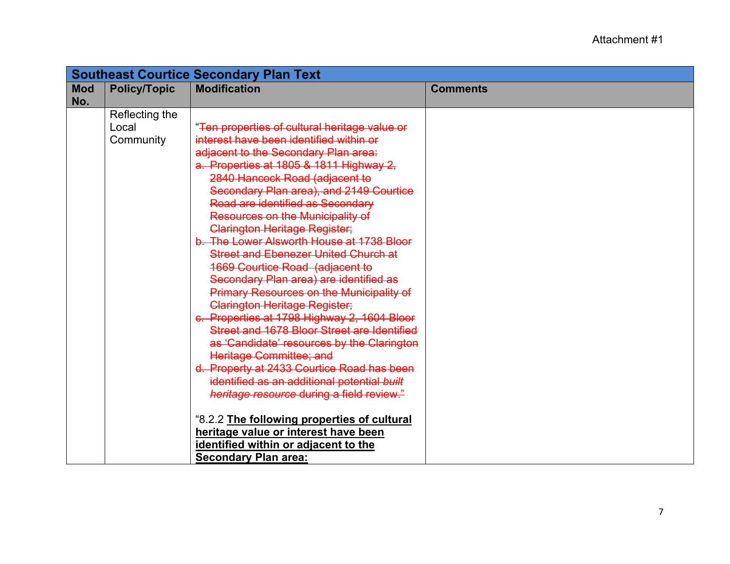|            | <b>Southeast Courtice Secondary Plan Text</b> |                                                 |                 |
|------------|-----------------------------------------------|-------------------------------------------------|-----------------|
| <b>Mod</b> | <b>Policy/Topic</b>                           | <b>Modification</b>                             | <b>Comments</b> |
| No.        |                                               |                                                 |                 |
|            | Reflecting the                                |                                                 |                 |
|            | Local                                         | "Ten properties of cultural heritage value or   |                 |
|            | Community                                     | interest have been identified within or         |                 |
|            |                                               | adjacent to the Secondary Plan area:            |                 |
|            |                                               | a. Properties at 1805 & 1811 Highway 2,         |                 |
|            |                                               | 2840 Hancock Road (adjacent to                  |                 |
|            |                                               | Secondary Plan area), and 2149 Courtice         |                 |
|            |                                               | Road are identified as Secondary                |                 |
|            |                                               | Resources on the Municipality of                |                 |
|            |                                               | Clarington Heritage Register;                   |                 |
|            |                                               | b. The Lower Alsworth House at 1738 Bloor       |                 |
|            |                                               | <b>Street and Ebenezer United Church at</b>     |                 |
|            |                                               | <b>1669 Courtice Road (adjacent to</b>          |                 |
|            |                                               | Secondary Plan area) are identified as          |                 |
|            |                                               | <b>Primary Resources on the Municipality of</b> |                 |
|            |                                               | <b>Clarington Heritage Register;</b>            |                 |
|            |                                               | c. Properties at 1798 Highway 2, 1604 Bloor     |                 |
|            |                                               | Street and 1678 Bloor Street are Identified     |                 |
|            |                                               | as 'Candidate' resources by the Clarington      |                 |
|            |                                               | Heritage Committee; and                         |                 |
|            |                                               | d. Property at 2433 Courtice Road has been      |                 |
|            |                                               | identified as an additional potential built     |                 |
|            |                                               | heritage resource during a field review."       |                 |
|            |                                               |                                                 |                 |
|            |                                               | "8.2.2 The following properties of cultural     |                 |
|            |                                               | heritage value or interest have been            |                 |
|            |                                               | identified within or adjacent to the            |                 |
|            |                                               | <b>Secondary Plan area:</b>                     |                 |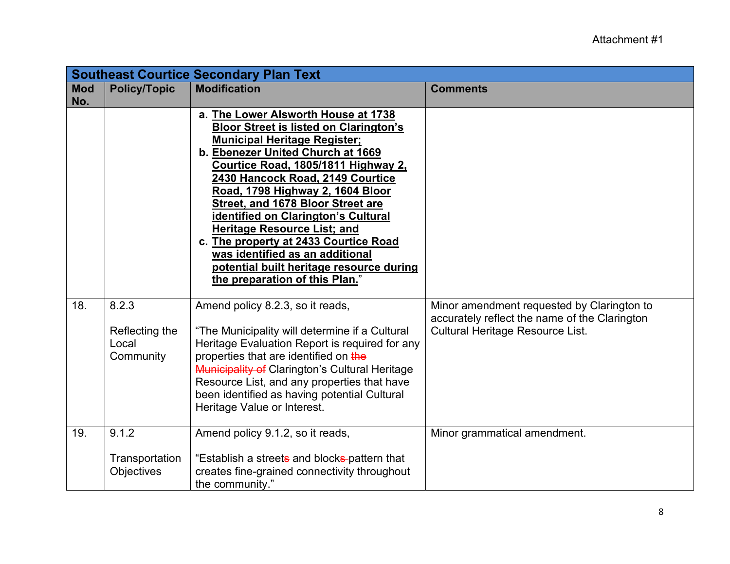|                   |                                               | <b>Southeast Courtice Secondary Plan Text</b>                                                                                                                                                                                                                                                                                                                                                                                                                                                                                                               |                                                                                                                                        |
|-------------------|-----------------------------------------------|-------------------------------------------------------------------------------------------------------------------------------------------------------------------------------------------------------------------------------------------------------------------------------------------------------------------------------------------------------------------------------------------------------------------------------------------------------------------------------------------------------------------------------------------------------------|----------------------------------------------------------------------------------------------------------------------------------------|
| <b>Mod</b><br>No. | <b>Policy/Topic</b>                           | <b>Modification</b>                                                                                                                                                                                                                                                                                                                                                                                                                                                                                                                                         | <b>Comments</b>                                                                                                                        |
|                   |                                               | a. The Lower Alsworth House at 1738<br><b>Bloor Street is listed on Clarington's</b><br><b>Municipal Heritage Register;</b><br>b. Ebenezer United Church at 1669<br>Courtice Road, 1805/1811 Highway 2,<br>2430 Hancock Road, 2149 Courtice<br>Road, 1798 Highway 2, 1604 Bloor<br>Street, and 1678 Bloor Street are<br>identified on Clarington's Cultural<br><b>Heritage Resource List; and</b><br>c. The property at 2433 Courtice Road<br>was identified as an additional<br>potential built heritage resource during<br>the preparation of this Plan." |                                                                                                                                        |
| 18.               | 8.2.3<br>Reflecting the<br>Local<br>Community | Amend policy 8.2.3, so it reads,<br>"The Municipality will determine if a Cultural<br>Heritage Evaluation Report is required for any<br>properties that are identified on the<br><b>Municipality of Clarington's Cultural Heritage</b><br>Resource List, and any properties that have<br>been identified as having potential Cultural<br>Heritage Value or Interest.                                                                                                                                                                                        | Minor amendment requested by Clarington to<br>accurately reflect the name of the Clarington<br><b>Cultural Heritage Resource List.</b> |
| 19.               | 9.1.2<br>Transportation<br><b>Objectives</b>  | Amend policy 9.1.2, so it reads,<br>"Establish a streets and blocks-pattern that<br>creates fine-grained connectivity throughout<br>the community."                                                                                                                                                                                                                                                                                                                                                                                                         | Minor grammatical amendment.                                                                                                           |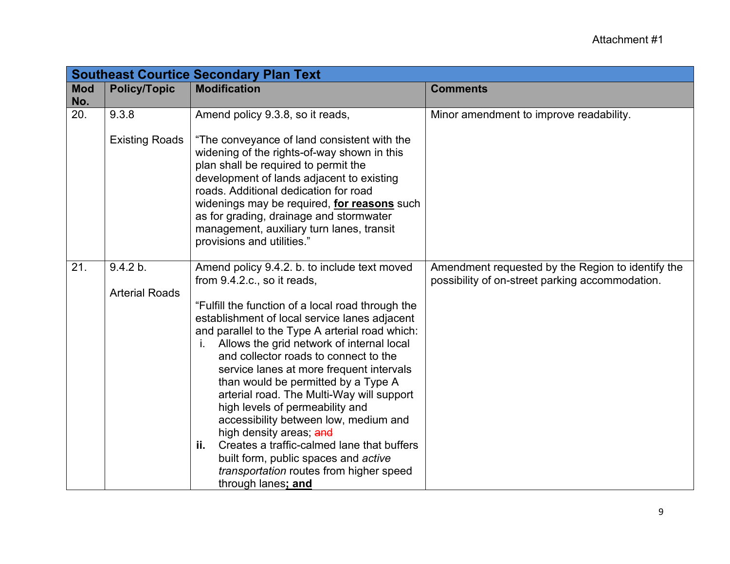|                   |                                   | <b>Southeast Courtice Secondary Plan Text</b>                                                                                                                                                                                                                                                                                                                                                                                                                                                                                                                                                                                                                                                                                         |                                                                                                      |
|-------------------|-----------------------------------|---------------------------------------------------------------------------------------------------------------------------------------------------------------------------------------------------------------------------------------------------------------------------------------------------------------------------------------------------------------------------------------------------------------------------------------------------------------------------------------------------------------------------------------------------------------------------------------------------------------------------------------------------------------------------------------------------------------------------------------|------------------------------------------------------------------------------------------------------|
| <b>Mod</b><br>No. | <b>Policy/Topic</b>               | <b>Modification</b>                                                                                                                                                                                                                                                                                                                                                                                                                                                                                                                                                                                                                                                                                                                   | <b>Comments</b>                                                                                      |
| 20.               | 9.3.8<br><b>Existing Roads</b>    | Amend policy 9.3.8, so it reads,<br>"The conveyance of land consistent with the<br>widening of the rights-of-way shown in this<br>plan shall be required to permit the<br>development of lands adjacent to existing<br>roads. Additional dedication for road<br>widenings may be required, for reasons such<br>as for grading, drainage and stormwater<br>management, auxiliary turn lanes, transit<br>provisions and utilities."                                                                                                                                                                                                                                                                                                     | Minor amendment to improve readability.                                                              |
| 21.               | 9.4.2 b.<br><b>Arterial Roads</b> | Amend policy 9.4.2. b. to include text moved<br>from 9.4.2.c., so it reads,<br>"Fulfill the function of a local road through the<br>establishment of local service lanes adjacent<br>and parallel to the Type A arterial road which:<br>Allows the grid network of internal local<br>j.<br>and collector roads to connect to the<br>service lanes at more frequent intervals<br>than would be permitted by a Type A<br>arterial road. The Multi-Way will support<br>high levels of permeability and<br>accessibility between low, medium and<br>high density areas; and<br>Creates a traffic-calmed lane that buffers<br>ii.<br>built form, public spaces and active<br>transportation routes from higher speed<br>through lanes; and | Amendment requested by the Region to identify the<br>possibility of on-street parking accommodation. |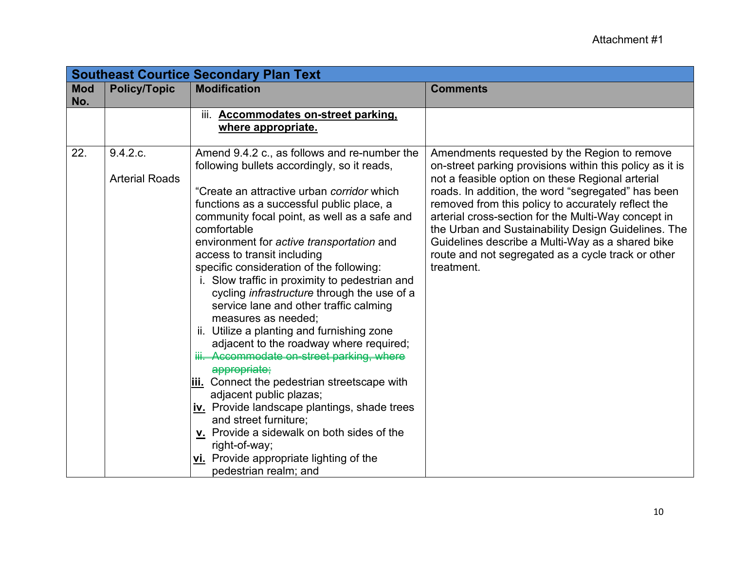|                   |                                   | <b>Southeast Courtice Secondary Plan Text</b>                                                                                                                                                                                                                                                                                                                                                                                                                                                                                                                                                                                                                                                                                                                                                                                                                                                                                                                                                       |                                                                                                                                                                                                                                                                                                                                                                                                                                                                                                                |
|-------------------|-----------------------------------|-----------------------------------------------------------------------------------------------------------------------------------------------------------------------------------------------------------------------------------------------------------------------------------------------------------------------------------------------------------------------------------------------------------------------------------------------------------------------------------------------------------------------------------------------------------------------------------------------------------------------------------------------------------------------------------------------------------------------------------------------------------------------------------------------------------------------------------------------------------------------------------------------------------------------------------------------------------------------------------------------------|----------------------------------------------------------------------------------------------------------------------------------------------------------------------------------------------------------------------------------------------------------------------------------------------------------------------------------------------------------------------------------------------------------------------------------------------------------------------------------------------------------------|
| <b>Mod</b><br>No. | <b>Policy/Topic</b>               | <b>Modification</b>                                                                                                                                                                                                                                                                                                                                                                                                                                                                                                                                                                                                                                                                                                                                                                                                                                                                                                                                                                                 | <b>Comments</b>                                                                                                                                                                                                                                                                                                                                                                                                                                                                                                |
|                   |                                   | iii. Accommodates on-street parking,<br>where appropriate.                                                                                                                                                                                                                                                                                                                                                                                                                                                                                                                                                                                                                                                                                                                                                                                                                                                                                                                                          |                                                                                                                                                                                                                                                                                                                                                                                                                                                                                                                |
| 22.               | 9.4.2.c.<br><b>Arterial Roads</b> | Amend 9.4.2 c., as follows and re-number the<br>following bullets accordingly, so it reads,<br>"Create an attractive urban corridor which<br>functions as a successful public place, a<br>community focal point, as well as a safe and<br>comfortable<br>environment for active transportation and<br>access to transit including<br>specific consideration of the following:<br>i. Slow traffic in proximity to pedestrian and<br>cycling <i>infrastructure</i> through the use of a<br>service lane and other traffic calming<br>measures as needed;<br>ii. Utilize a planting and furnishing zone<br>adjacent to the roadway where required;<br>iii. Accommodate on-street parking, where<br>appropriate;<br>iii. Connect the pedestrian streetscape with<br>adjacent public plazas;<br>iv. Provide landscape plantings, shade trees<br>and street furniture;<br>v. Provide a sidewalk on both sides of the<br>right-of-way;<br>vi. Provide appropriate lighting of the<br>pedestrian realm; and | Amendments requested by the Region to remove<br>on-street parking provisions within this policy as it is<br>not a feasible option on these Regional arterial<br>roads. In addition, the word "segregated" has been<br>removed from this policy to accurately reflect the<br>arterial cross-section for the Multi-Way concept in<br>the Urban and Sustainability Design Guidelines. The<br>Guidelines describe a Multi-Way as a shared bike<br>route and not segregated as a cycle track or other<br>treatment. |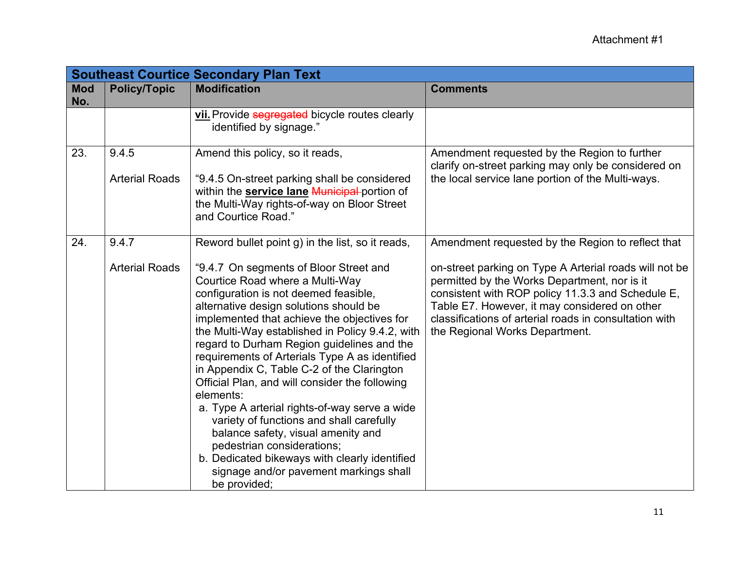|                   |                                | <b>Southeast Courtice Secondary Plan Text</b>                                                                                                                                                                                                                                                                                                                                                                                                                                                                                                                                                                                                                                                                                                                                                               |                                                                                                                                                                                                                                                                                                                                                               |
|-------------------|--------------------------------|-------------------------------------------------------------------------------------------------------------------------------------------------------------------------------------------------------------------------------------------------------------------------------------------------------------------------------------------------------------------------------------------------------------------------------------------------------------------------------------------------------------------------------------------------------------------------------------------------------------------------------------------------------------------------------------------------------------------------------------------------------------------------------------------------------------|---------------------------------------------------------------------------------------------------------------------------------------------------------------------------------------------------------------------------------------------------------------------------------------------------------------------------------------------------------------|
| <b>Mod</b><br>No. | <b>Policy/Topic</b>            | <b>Modification</b>                                                                                                                                                                                                                                                                                                                                                                                                                                                                                                                                                                                                                                                                                                                                                                                         | <b>Comments</b>                                                                                                                                                                                                                                                                                                                                               |
|                   |                                | vii. Provide segregated bicycle routes clearly<br>identified by signage."                                                                                                                                                                                                                                                                                                                                                                                                                                                                                                                                                                                                                                                                                                                                   |                                                                                                                                                                                                                                                                                                                                                               |
| 23.               | 9.4.5<br><b>Arterial Roads</b> | Amend this policy, so it reads,<br>"9.4.5 On-street parking shall be considered<br>within the <b>service lane Municipal-</b> portion of<br>the Multi-Way rights-of-way on Bloor Street<br>and Courtice Road."                                                                                                                                                                                                                                                                                                                                                                                                                                                                                                                                                                                               | Amendment requested by the Region to further<br>clarify on-street parking may only be considered on<br>the local service lane portion of the Multi-ways.                                                                                                                                                                                                      |
| 24.               | 9.4.7<br><b>Arterial Roads</b> | Reword bullet point g) in the list, so it reads,<br>"9.4.7 On segments of Bloor Street and<br>Courtice Road where a Multi-Way<br>configuration is not deemed feasible,<br>alternative design solutions should be<br>implemented that achieve the objectives for<br>the Multi-Way established in Policy 9.4.2, with<br>regard to Durham Region guidelines and the<br>requirements of Arterials Type A as identified<br>in Appendix C, Table C-2 of the Clarington<br>Official Plan, and will consider the following<br>elements:<br>a. Type A arterial rights-of-way serve a wide<br>variety of functions and shall carefully<br>balance safety, visual amenity and<br>pedestrian considerations;<br>b. Dedicated bikeways with clearly identified<br>signage and/or pavement markings shall<br>be provided; | Amendment requested by the Region to reflect that<br>on-street parking on Type A Arterial roads will not be<br>permitted by the Works Department, nor is it<br>consistent with ROP policy 11.3.3 and Schedule E,<br>Table E7. However, it may considered on other<br>classifications of arterial roads in consultation with<br>the Regional Works Department. |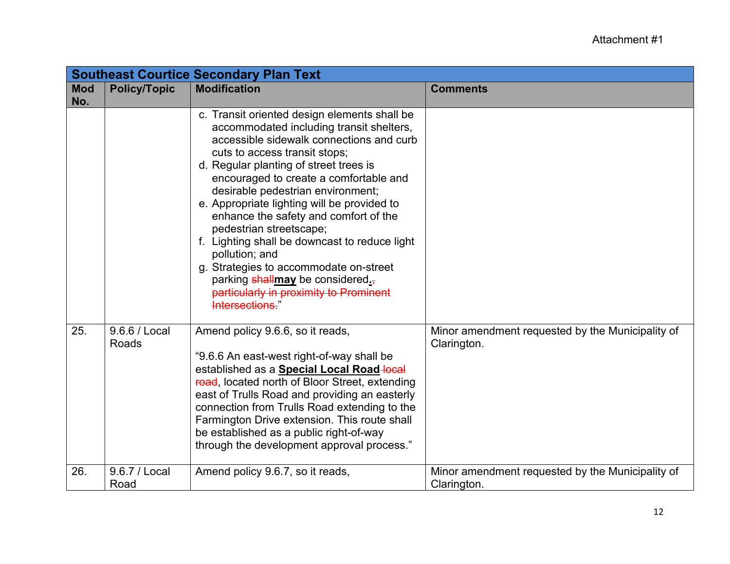|            |                        | <b>Southeast Courtice Secondary Plan Text</b>                                                                                                                                                                                                                                                                                                                                                                                                                                                                                                                                                                                  |                                                                 |
|------------|------------------------|--------------------------------------------------------------------------------------------------------------------------------------------------------------------------------------------------------------------------------------------------------------------------------------------------------------------------------------------------------------------------------------------------------------------------------------------------------------------------------------------------------------------------------------------------------------------------------------------------------------------------------|-----------------------------------------------------------------|
| <b>Mod</b> | <b>Policy/Topic</b>    | <b>Modification</b>                                                                                                                                                                                                                                                                                                                                                                                                                                                                                                                                                                                                            | <b>Comments</b>                                                 |
| No.        |                        | c. Transit oriented design elements shall be<br>accommodated including transit shelters,<br>accessible sidewalk connections and curb<br>cuts to access transit stops;<br>d. Regular planting of street trees is<br>encouraged to create a comfortable and<br>desirable pedestrian environment;<br>e. Appropriate lighting will be provided to<br>enhance the safety and comfort of the<br>pedestrian streetscape;<br>f. Lighting shall be downcast to reduce light<br>pollution; and<br>g. Strategies to accommodate on-street<br>parking shallmay be considered.<br>particularly in proximity to Prominent<br>Intersections." |                                                                 |
| 25.        | 9.6.6 / Local<br>Roads | Amend policy 9.6.6, so it reads,<br>"9.6.6 An east-west right-of-way shall be<br>established as a <b>Special Local Road-local</b><br>road, located north of Bloor Street, extending<br>east of Trulls Road and providing an easterly<br>connection from Trulls Road extending to the<br>Farmington Drive extension. This route shall<br>be established as a public right-of-way<br>through the development approval process."                                                                                                                                                                                                  | Minor amendment requested by the Municipality of<br>Clarington. |
| 26.        | 9.6.7 / Local<br>Road  | Amend policy 9.6.7, so it reads,                                                                                                                                                                                                                                                                                                                                                                                                                                                                                                                                                                                               | Minor amendment requested by the Municipality of<br>Clarington. |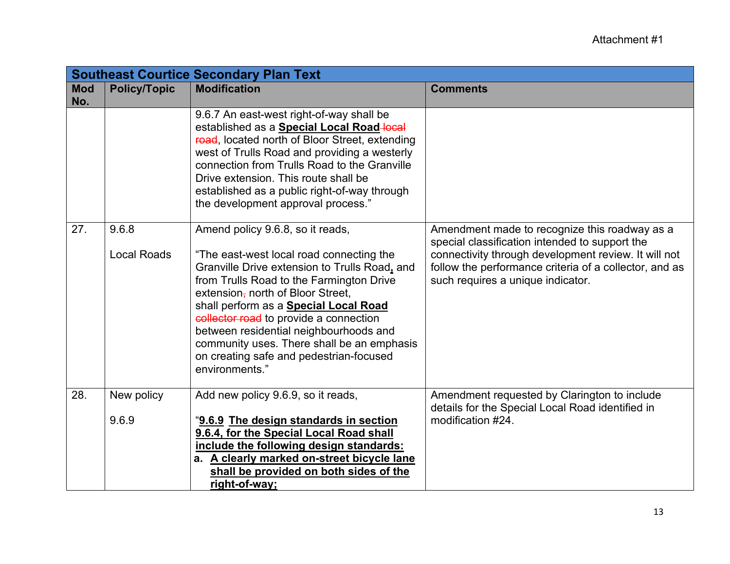|                   |                             | <b>Southeast Courtice Secondary Plan Text</b>                                                                                                                                                                                                                                                                                                                                                                                                                 |                                                                                                                                                                                                                                                        |
|-------------------|-----------------------------|---------------------------------------------------------------------------------------------------------------------------------------------------------------------------------------------------------------------------------------------------------------------------------------------------------------------------------------------------------------------------------------------------------------------------------------------------------------|--------------------------------------------------------------------------------------------------------------------------------------------------------------------------------------------------------------------------------------------------------|
| <b>Mod</b><br>No. | <b>Policy/Topic</b>         | <b>Modification</b>                                                                                                                                                                                                                                                                                                                                                                                                                                           | <b>Comments</b>                                                                                                                                                                                                                                        |
|                   |                             | 9.6.7 An east-west right-of-way shall be<br>established as a <b>Special Local Road-local</b><br>road, located north of Bloor Street, extending<br>west of Trulls Road and providing a westerly<br>connection from Trulls Road to the Granville<br>Drive extension. This route shall be<br>established as a public right-of-way through<br>the development approval process."                                                                                  |                                                                                                                                                                                                                                                        |
| 27.               | 9.6.8<br><b>Local Roads</b> | Amend policy 9.6.8, so it reads,<br>"The east-west local road connecting the<br>Granville Drive extension to Trulls Road, and<br>from Trulls Road to the Farmington Drive<br>extension, north of Bloor Street,<br>shall perform as a <b>Special Local Road</b><br>collector road to provide a connection<br>between residential neighbourhoods and<br>community uses. There shall be an emphasis<br>on creating safe and pedestrian-focused<br>environments." | Amendment made to recognize this roadway as a<br>special classification intended to support the<br>connectivity through development review. It will not<br>follow the performance criteria of a collector, and as<br>such requires a unique indicator. |
| 28.               | New policy<br>9.6.9         | Add new policy 9.6.9, so it reads,<br>"9.6.9 The design standards in section<br>9.6.4, for the Special Local Road shall<br>include the following design standards:<br>a. A clearly marked on-street bicycle lane<br>shall be provided on both sides of the<br>right-of-way;                                                                                                                                                                                   | Amendment requested by Clarington to include<br>details for the Special Local Road identified in<br>modification #24.                                                                                                                                  |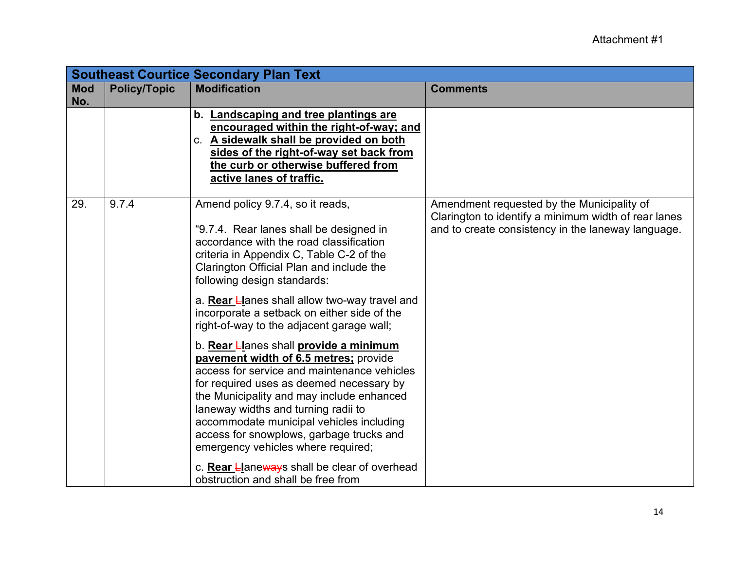|                   | <b>Southeast Courtice Secondary Plan Text</b> |                                                                                                                                                                                                                                                                                                                                                                                                                                              |                                                                                                                                                          |  |
|-------------------|-----------------------------------------------|----------------------------------------------------------------------------------------------------------------------------------------------------------------------------------------------------------------------------------------------------------------------------------------------------------------------------------------------------------------------------------------------------------------------------------------------|----------------------------------------------------------------------------------------------------------------------------------------------------------|--|
| <b>Mod</b><br>No. | <b>Policy/Topic</b>                           | <b>Modification</b>                                                                                                                                                                                                                                                                                                                                                                                                                          | <b>Comments</b>                                                                                                                                          |  |
|                   |                                               | b. Landscaping and tree plantings are<br>encouraged within the right-of-way; and<br>c. A sidewalk shall be provided on both<br>sides of the right-of-way set back from<br>the curb or otherwise buffered from<br>active lanes of traffic.                                                                                                                                                                                                    |                                                                                                                                                          |  |
| 29.               | 9.7.4                                         | Amend policy 9.7.4, so it reads,<br>"9.7.4. Rear lanes shall be designed in<br>accordance with the road classification<br>criteria in Appendix C, Table C-2 of the<br>Clarington Official Plan and include the<br>following design standards:                                                                                                                                                                                                | Amendment requested by the Municipality of<br>Clarington to identify a minimum width of rear lanes<br>and to create consistency in the laneway language. |  |
|                   |                                               | a. Rear Llanes shall allow two-way travel and<br>incorporate a setback on either side of the<br>right-of-way to the adjacent garage wall;                                                                                                                                                                                                                                                                                                    |                                                                                                                                                          |  |
|                   |                                               | b. Rear Llanes shall provide a minimum<br>pavement width of 6.5 metres; provide<br>access for service and maintenance vehicles<br>for required uses as deemed necessary by<br>the Municipality and may include enhanced<br>laneway widths and turning radii to<br>accommodate municipal vehicles including<br>access for snowplows, garbage trucks and<br>emergency vehicles where required;<br>c. Rear Llaneways shall be clear of overhead |                                                                                                                                                          |  |
|                   |                                               | obstruction and shall be free from                                                                                                                                                                                                                                                                                                                                                                                                           |                                                                                                                                                          |  |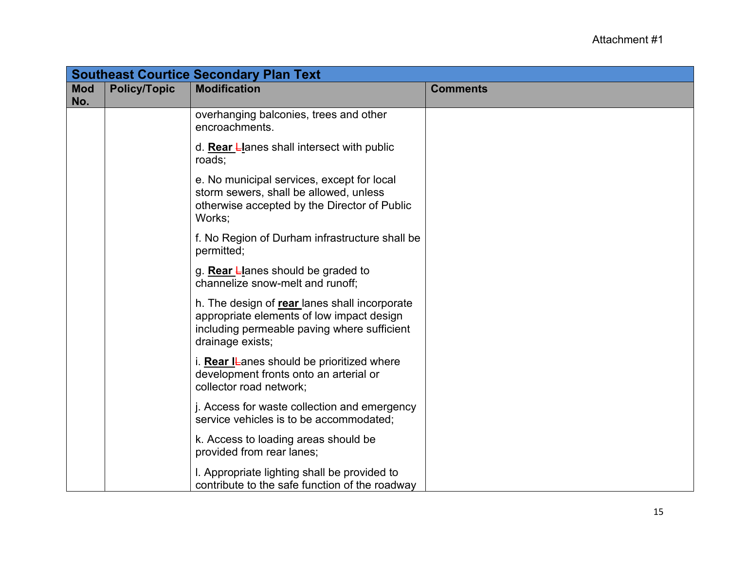|                   |                     | <b>Southeast Courtice Secondary Plan Text</b>                                                                                                                 |                 |
|-------------------|---------------------|---------------------------------------------------------------------------------------------------------------------------------------------------------------|-----------------|
| <b>Mod</b><br>No. | <b>Policy/Topic</b> | <b>Modification</b>                                                                                                                                           | <b>Comments</b> |
|                   |                     | overhanging balconies, trees and other<br>encroachments.                                                                                                      |                 |
|                   |                     | d. Rear Llanes shall intersect with public<br>roads;                                                                                                          |                 |
|                   |                     | e. No municipal services, except for local<br>storm sewers, shall be allowed, unless<br>otherwise accepted by the Director of Public<br>Works;                |                 |
|                   |                     | f. No Region of Durham infrastructure shall be<br>permitted;                                                                                                  |                 |
|                   |                     | g. Rear Llanes should be graded to<br>channelize snow-melt and runoff;                                                                                        |                 |
|                   |                     | h. The design of rear lanes shall incorporate<br>appropriate elements of low impact design<br>including permeable paving where sufficient<br>drainage exists; |                 |
|                   |                     | i. Rear I-anes should be prioritized where<br>development fronts onto an arterial or<br>collector road network;                                               |                 |
|                   |                     | j. Access for waste collection and emergency<br>service vehicles is to be accommodated;                                                                       |                 |
|                   |                     | k. Access to loading areas should be<br>provided from rear lanes;                                                                                             |                 |
|                   |                     | I. Appropriate lighting shall be provided to<br>contribute to the safe function of the roadway                                                                |                 |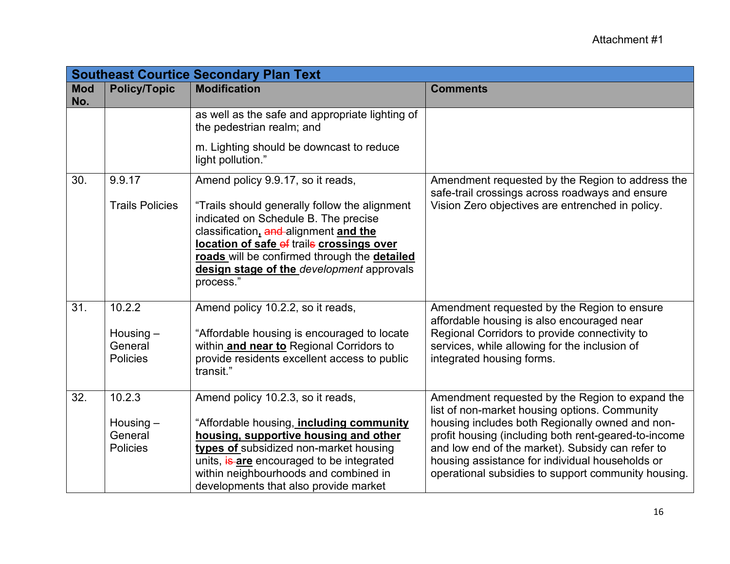|                   |                                           | <b>Southeast Courtice Secondary Plan Text</b>                                                                                                                                                                                                                                         |                                                                                                                                                                                                                                                                       |
|-------------------|-------------------------------------------|---------------------------------------------------------------------------------------------------------------------------------------------------------------------------------------------------------------------------------------------------------------------------------------|-----------------------------------------------------------------------------------------------------------------------------------------------------------------------------------------------------------------------------------------------------------------------|
| <b>Mod</b><br>No. | <b>Policy/Topic</b>                       | <b>Modification</b>                                                                                                                                                                                                                                                                   | <b>Comments</b>                                                                                                                                                                                                                                                       |
|                   |                                           | as well as the safe and appropriate lighting of<br>the pedestrian realm; and                                                                                                                                                                                                          |                                                                                                                                                                                                                                                                       |
|                   |                                           | m. Lighting should be downcast to reduce<br>light pollution."                                                                                                                                                                                                                         |                                                                                                                                                                                                                                                                       |
| 30.               | 9.9.17                                    | Amend policy 9.9.17, so it reads,                                                                                                                                                                                                                                                     | Amendment requested by the Region to address the<br>safe-trail crossings across roadways and ensure                                                                                                                                                                   |
|                   | <b>Trails Policies</b>                    | "Trails should generally follow the alignment<br>indicated on Schedule B. The precise<br>classification, and alignment and the<br>location of safe of trails crossings over<br>roads will be confirmed through the detailed<br>design stage of the development approvals<br>process." | Vision Zero objectives are entrenched in policy.                                                                                                                                                                                                                      |
| 31.               | 10.2.2                                    | Amend policy 10.2.2, so it reads,                                                                                                                                                                                                                                                     | Amendment requested by the Region to ensure<br>affordable housing is also encouraged near                                                                                                                                                                             |
|                   | Housing $-$<br>General<br><b>Policies</b> | "Affordable housing is encouraged to locate<br>within and near to Regional Corridors to<br>provide residents excellent access to public<br>transit."                                                                                                                                  | Regional Corridors to provide connectivity to<br>services, while allowing for the inclusion of<br>integrated housing forms.                                                                                                                                           |
| 32.               | 10.2.3                                    | Amend policy 10.2.3, so it reads,                                                                                                                                                                                                                                                     | Amendment requested by the Region to expand the<br>list of non-market housing options. Community                                                                                                                                                                      |
|                   | Housing $-$<br>General<br><b>Policies</b> | "Affordable housing, including community<br>housing, supportive housing and other<br>types of subsidized non-market housing<br>units, is are encouraged to be integrated<br>within neighbourhoods and combined in<br>developments that also provide market                            | housing includes both Regionally owned and non-<br>profit housing (including both rent-geared-to-income<br>and low end of the market). Subsidy can refer to<br>housing assistance for individual households or<br>operational subsidies to support community housing. |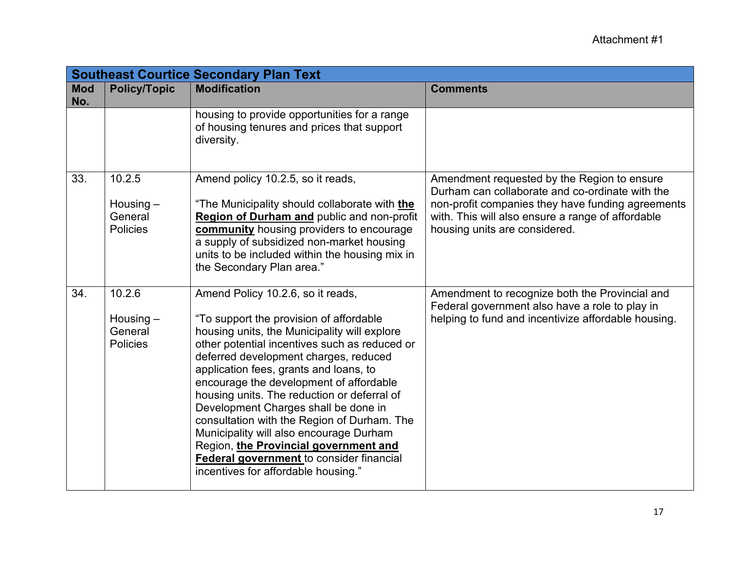|                   |                                                     | <b>Southeast Courtice Secondary Plan Text</b>                                                                                                                                                                                                                                                                                                                                                                                                                                                                                                                                                                                   |                                                                                                                                                                                                                                           |
|-------------------|-----------------------------------------------------|---------------------------------------------------------------------------------------------------------------------------------------------------------------------------------------------------------------------------------------------------------------------------------------------------------------------------------------------------------------------------------------------------------------------------------------------------------------------------------------------------------------------------------------------------------------------------------------------------------------------------------|-------------------------------------------------------------------------------------------------------------------------------------------------------------------------------------------------------------------------------------------|
| <b>Mod</b><br>No. | <b>Policy/Topic</b>                                 | <b>Modification</b>                                                                                                                                                                                                                                                                                                                                                                                                                                                                                                                                                                                                             | <b>Comments</b>                                                                                                                                                                                                                           |
|                   |                                                     | housing to provide opportunities for a range<br>of housing tenures and prices that support<br>diversity.                                                                                                                                                                                                                                                                                                                                                                                                                                                                                                                        |                                                                                                                                                                                                                                           |
| 33.               | 10.2.5<br>Housing $-$<br>General<br><b>Policies</b> | Amend policy 10.2.5, so it reads,<br>"The Municipality should collaborate with the<br>Region of Durham and public and non-profit<br>community housing providers to encourage<br>a supply of subsidized non-market housing<br>units to be included within the housing mix in<br>the Secondary Plan area."                                                                                                                                                                                                                                                                                                                        | Amendment requested by the Region to ensure<br>Durham can collaborate and co-ordinate with the<br>non-profit companies they have funding agreements<br>with. This will also ensure a range of affordable<br>housing units are considered. |
| 34.               | 10.2.6<br>Housing $-$<br>General<br><b>Policies</b> | Amend Policy 10.2.6, so it reads,<br>"To support the provision of affordable<br>housing units, the Municipality will explore<br>other potential incentives such as reduced or<br>deferred development charges, reduced<br>application fees, grants and loans, to<br>encourage the development of affordable<br>housing units. The reduction or deferral of<br>Development Charges shall be done in<br>consultation with the Region of Durham. The<br>Municipality will also encourage Durham<br>Region, the Provincial government and<br><b>Federal government</b> to consider financial<br>incentives for affordable housing." | Amendment to recognize both the Provincial and<br>Federal government also have a role to play in<br>helping to fund and incentivize affordable housing.                                                                                   |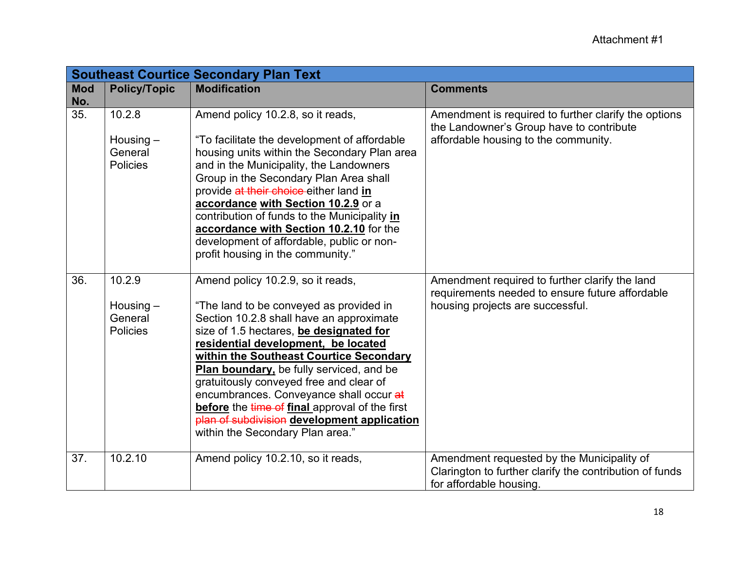|                   |                                                     | <b>Southeast Courtice Secondary Plan Text</b>                                                                                                                                                                                                                                                                                                                                                                                                                                                                                |                                                                                                                                          |
|-------------------|-----------------------------------------------------|------------------------------------------------------------------------------------------------------------------------------------------------------------------------------------------------------------------------------------------------------------------------------------------------------------------------------------------------------------------------------------------------------------------------------------------------------------------------------------------------------------------------------|------------------------------------------------------------------------------------------------------------------------------------------|
| <b>Mod</b><br>No. | <b>Policy/Topic</b>                                 | <b>Modification</b>                                                                                                                                                                                                                                                                                                                                                                                                                                                                                                          | <b>Comments</b>                                                                                                                          |
| 35.               | 10.2.8<br>Housing $-$<br>General<br>Policies        | Amend policy 10.2.8, so it reads,<br>"To facilitate the development of affordable<br>housing units within the Secondary Plan area<br>and in the Municipality, the Landowners<br>Group in the Secondary Plan Area shall<br>provide at their choice either land in<br>accordance with Section 10.2.9 or a<br>contribution of funds to the Municipality in<br>accordance with Section 10.2.10 for the<br>development of affordable, public or non-<br>profit housing in the community."                                         | Amendment is required to further clarify the options<br>the Landowner's Group have to contribute<br>affordable housing to the community. |
| 36.               | 10.2.9<br>Housing $-$<br>General<br><b>Policies</b> | Amend policy 10.2.9, so it reads,<br>"The land to be conveyed as provided in<br>Section 10.2.8 shall have an approximate<br>size of 1.5 hectares, be designated for<br>residential development, be located<br>within the Southeast Courtice Secondary<br>Plan boundary, be fully serviced, and be<br>gratuitously conveyed free and clear of<br>encumbrances. Conveyance shall occur at<br>before the time of final approval of the first<br>plan of subdivision development application<br>within the Secondary Plan area." | Amendment required to further clarify the land<br>requirements needed to ensure future affordable<br>housing projects are successful.    |
| 37.               | 10.2.10                                             | Amend policy 10.2.10, so it reads,                                                                                                                                                                                                                                                                                                                                                                                                                                                                                           | Amendment requested by the Municipality of<br>Clarington to further clarify the contribution of funds<br>for affordable housing.         |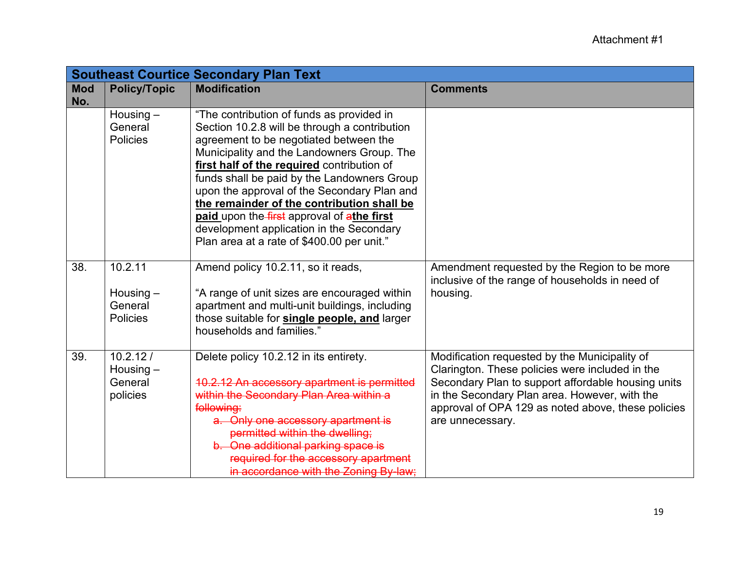|                   |                                                | <b>Southeast Courtice Secondary Plan Text</b>                                                                                                                                                                                                                                                                                                                                                                                                                                                                        |                                                                                                                                                                                                                                                                                   |
|-------------------|------------------------------------------------|----------------------------------------------------------------------------------------------------------------------------------------------------------------------------------------------------------------------------------------------------------------------------------------------------------------------------------------------------------------------------------------------------------------------------------------------------------------------------------------------------------------------|-----------------------------------------------------------------------------------------------------------------------------------------------------------------------------------------------------------------------------------------------------------------------------------|
| <b>Mod</b><br>No. | <b>Policy/Topic</b>                            | <b>Modification</b>                                                                                                                                                                                                                                                                                                                                                                                                                                                                                                  | <b>Comments</b>                                                                                                                                                                                                                                                                   |
|                   | Housing $-$<br>General<br><b>Policies</b>      | "The contribution of funds as provided in<br>Section 10.2.8 will be through a contribution<br>agreement to be negotiated between the<br>Municipality and the Landowners Group. The<br>first half of the required contribution of<br>funds shall be paid by the Landowners Group<br>upon the approval of the Secondary Plan and<br>the remainder of the contribution shall be<br>paid upon the first approval of athe first<br>development application in the Secondary<br>Plan area at a rate of \$400.00 per unit." |                                                                                                                                                                                                                                                                                   |
| 38.               | 10.2.11<br>Housing $-$<br>General<br>Policies  | Amend policy 10.2.11, so it reads,<br>"A range of unit sizes are encouraged within<br>apartment and multi-unit buildings, including<br>those suitable for single people, and larger<br>households and families."                                                                                                                                                                                                                                                                                                     | Amendment requested by the Region to be more<br>inclusive of the range of households in need of<br>housing.                                                                                                                                                                       |
| 39.               | 10.2.12/<br>Housing $-$<br>General<br>policies | Delete policy 10.2.12 in its entirety.<br>10.2.12 An accessory apartment is permitted<br>within the Secondary Plan Area within a<br>following:<br>a. Only one accessory apartment is<br>permitted within the dwelling:<br>b. One additional parking space is<br>required for the accessory apartment<br>in accordance with the Zoning By-law.                                                                                                                                                                        | Modification requested by the Municipality of<br>Clarington. These policies were included in the<br>Secondary Plan to support affordable housing units<br>in the Secondary Plan area. However, with the<br>approval of OPA 129 as noted above, these policies<br>are unnecessary. |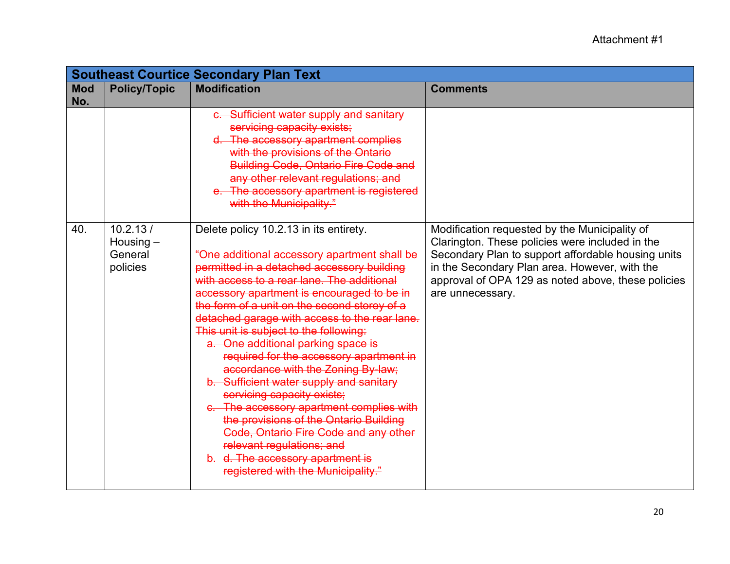|                   |                                                | <b>Southeast Courtice Secondary Plan Text</b>                                                                                                                                                                                                                                                                                                                                                                                                                                                                                                                                                                                                                                                                                                                                                                            |                                                                                                                                                                                                                                                                                   |
|-------------------|------------------------------------------------|--------------------------------------------------------------------------------------------------------------------------------------------------------------------------------------------------------------------------------------------------------------------------------------------------------------------------------------------------------------------------------------------------------------------------------------------------------------------------------------------------------------------------------------------------------------------------------------------------------------------------------------------------------------------------------------------------------------------------------------------------------------------------------------------------------------------------|-----------------------------------------------------------------------------------------------------------------------------------------------------------------------------------------------------------------------------------------------------------------------------------|
| <b>Mod</b><br>No. | <b>Policy/Topic</b>                            | <b>Modification</b>                                                                                                                                                                                                                                                                                                                                                                                                                                                                                                                                                                                                                                                                                                                                                                                                      | <b>Comments</b>                                                                                                                                                                                                                                                                   |
|                   |                                                | c. Sufficient water supply and sanitary<br>servicing capacity exists;<br>d. The accessory apartment complies<br>with the provisions of the Ontario<br><b>Building Code, Ontario Fire Code and</b><br>any other relevant regulations; and<br>e. The accessory apartment is registered<br>with the Municipality."                                                                                                                                                                                                                                                                                                                                                                                                                                                                                                          |                                                                                                                                                                                                                                                                                   |
| 40.               | 10.2.13/<br>Housing $-$<br>General<br>policies | Delete policy 10.2.13 in its entirety.<br>"One additional accessory apartment shall be<br>permitted in a detached accessory building<br>with access to a rear lane. The additional<br>accessory apartment is encouraged to be in<br>the form of a unit on the second storey of a<br>detached garage with access to the rear lane.<br>This unit is subject to the following:<br>a. One additional parking space is<br>required for the accessory apartment in<br>accordance with the Zoning By-law;<br>b. Sufficient water supply and sanitary<br>servicing capacity exists;<br>c. The accessory apartment complies with<br>the provisions of the Ontario Building<br><b>Code, Ontario Fire Code and any other</b><br>relevant regulations; and<br>b. d. The accessory apartment is<br>registered with the Municipality." | Modification requested by the Municipality of<br>Clarington. These policies were included in the<br>Secondary Plan to support affordable housing units<br>in the Secondary Plan area. However, with the<br>approval of OPA 129 as noted above, these policies<br>are unnecessary. |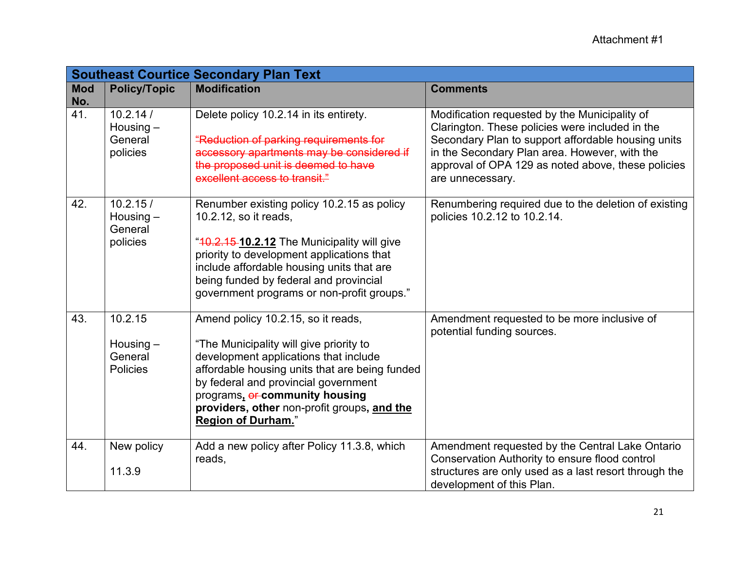|                   |                                                      | <b>Southeast Courtice Secondary Plan Text</b>                                                                                                                                                                                                                                                                                   |                                                                                                                                                                                                                                                                                   |
|-------------------|------------------------------------------------------|---------------------------------------------------------------------------------------------------------------------------------------------------------------------------------------------------------------------------------------------------------------------------------------------------------------------------------|-----------------------------------------------------------------------------------------------------------------------------------------------------------------------------------------------------------------------------------------------------------------------------------|
| <b>Mod</b><br>No. | <b>Policy/Topic</b>                                  | <b>Modification</b>                                                                                                                                                                                                                                                                                                             | <b>Comments</b>                                                                                                                                                                                                                                                                   |
| 41.               | 10.2.14/<br>Housing $-$<br>General<br>policies       | Delete policy 10.2.14 in its entirety.<br>"Reduction of parking requirements for<br>accessory apartments may be considered if<br>the proposed unit is deemed to have<br>excellent access to transit."                                                                                                                           | Modification requested by the Municipality of<br>Clarington. These policies were included in the<br>Secondary Plan to support affordable housing units<br>in the Secondary Plan area. However, with the<br>approval of OPA 129 as noted above, these policies<br>are unnecessary. |
| 42.               | 10.2.15/<br>Housing $-$<br>General<br>policies       | Renumber existing policy 10.2.15 as policy<br>10.2.12, so it reads,<br>"10.2.15 10.2.12 The Municipality will give<br>priority to development applications that<br>include affordable housing units that are<br>being funded by federal and provincial<br>government programs or non-profit groups."                            | Renumbering required due to the deletion of existing<br>policies 10.2.12 to 10.2.14.                                                                                                                                                                                              |
| 43.               | 10.2.15<br>Housing $-$<br>General<br><b>Policies</b> | Amend policy 10.2.15, so it reads,<br>"The Municipality will give priority to<br>development applications that include<br>affordable housing units that are being funded<br>by federal and provincial government<br>programs, or community housing<br>providers, other non-profit groups, and the<br><b>Region of Durham.</b> " | Amendment requested to be more inclusive of<br>potential funding sources.                                                                                                                                                                                                         |
| 44.               | New policy<br>11.3.9                                 | Add a new policy after Policy 11.3.8, which<br>reads,                                                                                                                                                                                                                                                                           | Amendment requested by the Central Lake Ontario<br>Conservation Authority to ensure flood control<br>structures are only used as a last resort through the<br>development of this Plan.                                                                                           |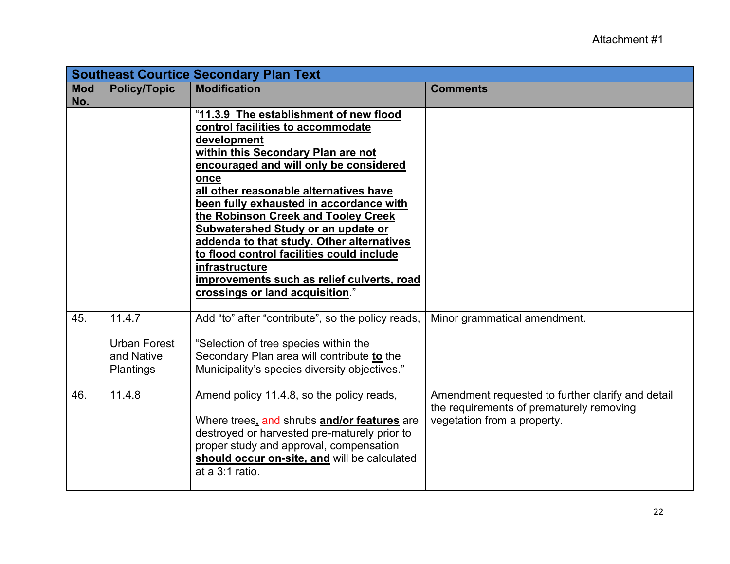|                   | <b>Southeast Courtice Secondary Plan Text</b>                   |                                                                                                                                                                                                                                                                                                                                                                                                                                                                                                                                                   |                                                                                                                              |  |
|-------------------|-----------------------------------------------------------------|---------------------------------------------------------------------------------------------------------------------------------------------------------------------------------------------------------------------------------------------------------------------------------------------------------------------------------------------------------------------------------------------------------------------------------------------------------------------------------------------------------------------------------------------------|------------------------------------------------------------------------------------------------------------------------------|--|
| <b>Mod</b><br>No. | <b>Policy/Topic</b>                                             | <b>Modification</b>                                                                                                                                                                                                                                                                                                                                                                                                                                                                                                                               | <b>Comments</b>                                                                                                              |  |
|                   |                                                                 | "11.3.9 The establishment of new flood<br>control facilities to accommodate<br>development<br>within this Secondary Plan are not<br>encouraged and will only be considered<br>once<br>all other reasonable alternatives have<br>been fully exhausted in accordance with<br>the Robinson Creek and Tooley Creek<br>Subwatershed Study or an update or<br>addenda to that study. Other alternatives<br>to flood control facilities could include<br>infrastructure<br>improvements such as relief culverts, road<br>crossings or land acquisition." |                                                                                                                              |  |
| 45.               | 11.4.7<br><b>Urban Forest</b><br>and Native<br><b>Plantings</b> | Add "to" after "contribute", so the policy reads,<br>"Selection of tree species within the<br>Secondary Plan area will contribute to the<br>Municipality's species diversity objectives."                                                                                                                                                                                                                                                                                                                                                         | Minor grammatical amendment.                                                                                                 |  |
| 46.               | 11.4.8                                                          | Amend policy 11.4.8, so the policy reads,<br>Where trees, and shrubs and/or features are<br>destroyed or harvested pre-maturely prior to<br>proper study and approval, compensation<br>should occur on-site, and will be calculated<br>at a 3:1 ratio.                                                                                                                                                                                                                                                                                            | Amendment requested to further clarify and detail<br>the requirements of prematurely removing<br>vegetation from a property. |  |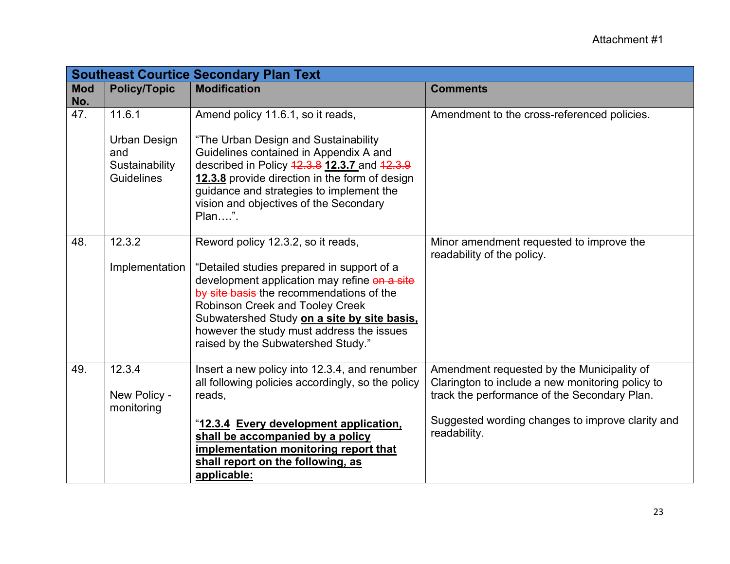|                   |                     | <b>Southeast Courtice Secondary Plan Text</b>                                              |                                                                        |
|-------------------|---------------------|--------------------------------------------------------------------------------------------|------------------------------------------------------------------------|
| <b>Mod</b><br>No. | <b>Policy/Topic</b> | <b>Modification</b>                                                                        | <b>Comments</b>                                                        |
| 47.               | 11.6.1              | Amend policy 11.6.1, so it reads,                                                          | Amendment to the cross-referenced policies.                            |
|                   | Urban Design<br>and | "The Urban Design and Sustainability<br>Guidelines contained in Appendix A and             |                                                                        |
|                   | Sustainability      | described in Policy 42.3.8 12.3.7 and 42.3.9                                               |                                                                        |
|                   | <b>Guidelines</b>   | 12.3.8 provide direction in the form of design<br>guidance and strategies to implement the |                                                                        |
|                   |                     | vision and objectives of the Secondary                                                     |                                                                        |
|                   |                     | Plan".                                                                                     |                                                                        |
| 48.               | 12.3.2              | Reword policy 12.3.2, so it reads,                                                         | Minor amendment requested to improve the<br>readability of the policy. |
|                   | Implementation      | "Detailed studies prepared in support of a                                                 |                                                                        |
|                   |                     | development application may refine on a site<br>by site basis the recommendations of the   |                                                                        |
|                   |                     | Robinson Creek and Tooley Creek                                                            |                                                                        |
|                   |                     | Subwatershed Study on a site by site basis.<br>however the study must address the issues   |                                                                        |
|                   |                     | raised by the Subwatershed Study."                                                         |                                                                        |
| 49.               | 12.3.4              | Insert a new policy into 12.3.4, and renumber                                              | Amendment requested by the Municipality of                             |
|                   |                     | all following policies accordingly, so the policy                                          | Clarington to include a new monitoring policy to                       |
|                   | New Policy -        | reads,                                                                                     | track the performance of the Secondary Plan.                           |
|                   | monitoring          | "12.3.4 Every development application,                                                     | Suggested wording changes to improve clarity and                       |
|                   |                     | shall be accompanied by a policy                                                           | readability.                                                           |
|                   |                     | implementation monitoring report that                                                      |                                                                        |
|                   |                     | shall report on the following, as<br>applicable:                                           |                                                                        |
|                   |                     |                                                                                            |                                                                        |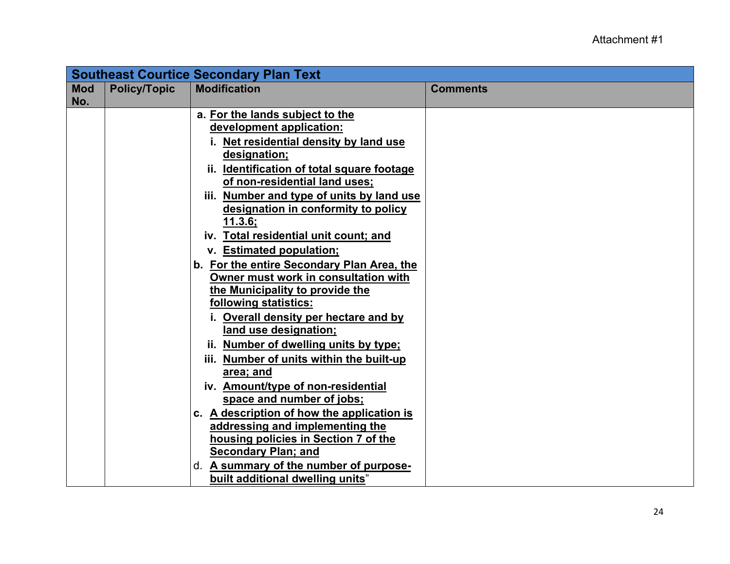|                   | <b>Southeast Courtice Secondary Plan Text</b> |                                                                                                                                                                                                                                                                                                                                                                                                                                                                                                                                                                                                                                                                                                                                                                                                                                                                                                                                                                           |                 |
|-------------------|-----------------------------------------------|---------------------------------------------------------------------------------------------------------------------------------------------------------------------------------------------------------------------------------------------------------------------------------------------------------------------------------------------------------------------------------------------------------------------------------------------------------------------------------------------------------------------------------------------------------------------------------------------------------------------------------------------------------------------------------------------------------------------------------------------------------------------------------------------------------------------------------------------------------------------------------------------------------------------------------------------------------------------------|-----------------|
| <b>Mod</b><br>No. | <b>Policy/Topic</b>                           | <b>Modification</b>                                                                                                                                                                                                                                                                                                                                                                                                                                                                                                                                                                                                                                                                                                                                                                                                                                                                                                                                                       | <b>Comments</b> |
|                   |                                               | a. For the lands subject to the<br>development application:<br>i. Net residential density by land use<br>designation;<br>ii. Identification of total square footage<br>of non-residential land uses;<br>iii. Number and type of units by land use<br>designation in conformity to policy<br><u>11.3.6;</u><br>iv. Total residential unit count; and<br>v. Estimated population;<br>b. For the entire Secondary Plan Area, the<br>Owner must work in consultation with<br>the Municipality to provide the<br>following statistics:<br>i. Overall density per hectare and by<br>land use designation;<br>ii. Number of dwelling units by type;<br>iii. Number of units within the built-up<br>area; and<br>iv. Amount/type of non-residential<br>space and number of jobs;<br>c. A description of how the application is<br>addressing and implementing the<br>housing policies in Section 7 of the<br><b>Secondary Plan; and</b><br>d. A summary of the number of purpose- |                 |
|                   |                                               | built additional dwelling units"                                                                                                                                                                                                                                                                                                                                                                                                                                                                                                                                                                                                                                                                                                                                                                                                                                                                                                                                          |                 |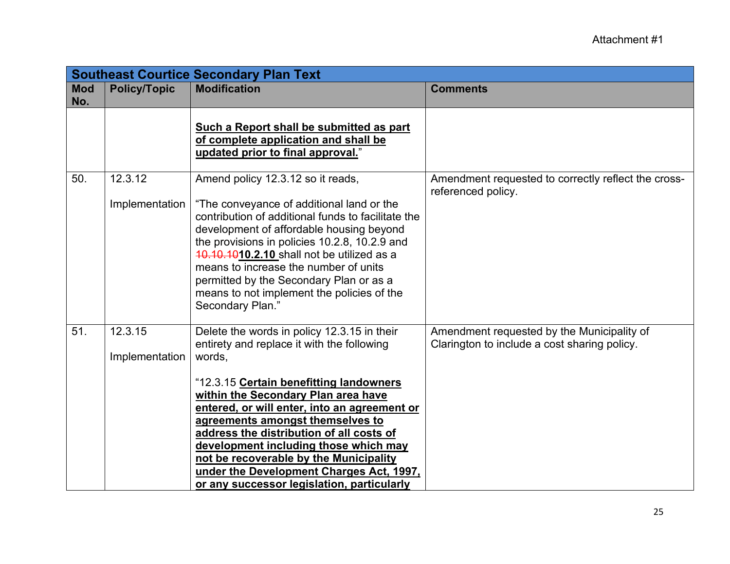| <b>Southeast Courtice Secondary Plan Text</b> |                           |                                                                                                                                                                                                                                                                                                                                                                                                                                                                                                    |                                                                                            |
|-----------------------------------------------|---------------------------|----------------------------------------------------------------------------------------------------------------------------------------------------------------------------------------------------------------------------------------------------------------------------------------------------------------------------------------------------------------------------------------------------------------------------------------------------------------------------------------------------|--------------------------------------------------------------------------------------------|
| <b>Mod</b><br>No.                             | <b>Policy/Topic</b>       | <b>Modification</b>                                                                                                                                                                                                                                                                                                                                                                                                                                                                                | <b>Comments</b>                                                                            |
|                                               |                           | Such a Report shall be submitted as part<br>of complete application and shall be<br>updated prior to final approval."                                                                                                                                                                                                                                                                                                                                                                              |                                                                                            |
| 50.                                           | 12.3.12<br>Implementation | Amend policy 12.3.12 so it reads,<br>"The conveyance of additional land or the<br>contribution of additional funds to facilitate the<br>development of affordable housing beyond<br>the provisions in policies 10.2.8, 10.2.9 and<br>10.10.1010.2.10 shall not be utilized as a<br>means to increase the number of units<br>permitted by the Secondary Plan or as a<br>means to not implement the policies of the<br>Secondary Plan."                                                              | Amendment requested to correctly reflect the cross-<br>referenced policy.                  |
| 51.                                           | 12.3.15<br>Implementation | Delete the words in policy 12.3.15 in their<br>entirety and replace it with the following<br>words,<br>"12.3.15 Certain benefitting landowners<br>within the Secondary Plan area have<br>entered, or will enter, into an agreement or<br>agreements amongst themselves to<br>address the distribution of all costs of<br>development including those which may<br>not be recoverable by the Municipality<br>under the Development Charges Act, 1997,<br>or any successor legislation, particularly | Amendment requested by the Municipality of<br>Clarington to include a cost sharing policy. |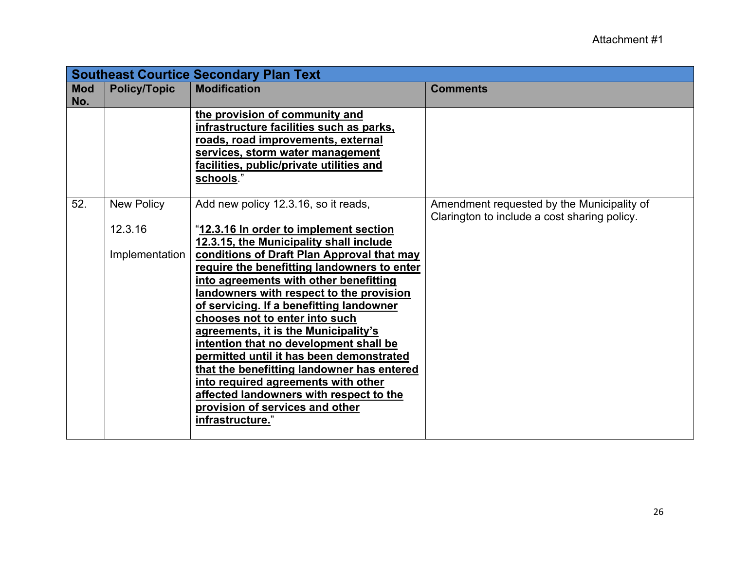|                   | <b>Southeast Courtice Secondary Plan Text</b>  |                                                                                                                                                                                                                                                                                                                                                                                                                                                                                                                                                                                                                                                          |                                                                                            |  |
|-------------------|------------------------------------------------|----------------------------------------------------------------------------------------------------------------------------------------------------------------------------------------------------------------------------------------------------------------------------------------------------------------------------------------------------------------------------------------------------------------------------------------------------------------------------------------------------------------------------------------------------------------------------------------------------------------------------------------------------------|--------------------------------------------------------------------------------------------|--|
| <b>Mod</b><br>No. | <b>Policy/Topic</b>                            | <b>Modification</b>                                                                                                                                                                                                                                                                                                                                                                                                                                                                                                                                                                                                                                      | <b>Comments</b>                                                                            |  |
|                   |                                                | the provision of community and<br>infrastructure facilities such as parks,<br>roads, road improvements, external<br>services, storm water management<br>facilities, public/private utilities and<br>schools."                                                                                                                                                                                                                                                                                                                                                                                                                                            |                                                                                            |  |
| 52.               | <b>New Policy</b><br>12.3.16<br>Implementation | Add new policy 12.3.16, so it reads,<br>"12.3.16 In order to implement section<br>12.3.15, the Municipality shall include<br>conditions of Draft Plan Approval that may<br>require the benefitting landowners to enter<br>into agreements with other benefitting<br>landowners with respect to the provision<br>of servicing. If a benefitting landowner<br>chooses not to enter into such<br>agreements, it is the Municipality's<br>intention that no development shall be<br>permitted until it has been demonstrated<br>that the benefitting landowner has entered<br>into required agreements with other<br>affected landowners with respect to the | Amendment requested by the Municipality of<br>Clarington to include a cost sharing policy. |  |
|                   |                                                | provision of services and other<br>infrastructure."                                                                                                                                                                                                                                                                                                                                                                                                                                                                                                                                                                                                      |                                                                                            |  |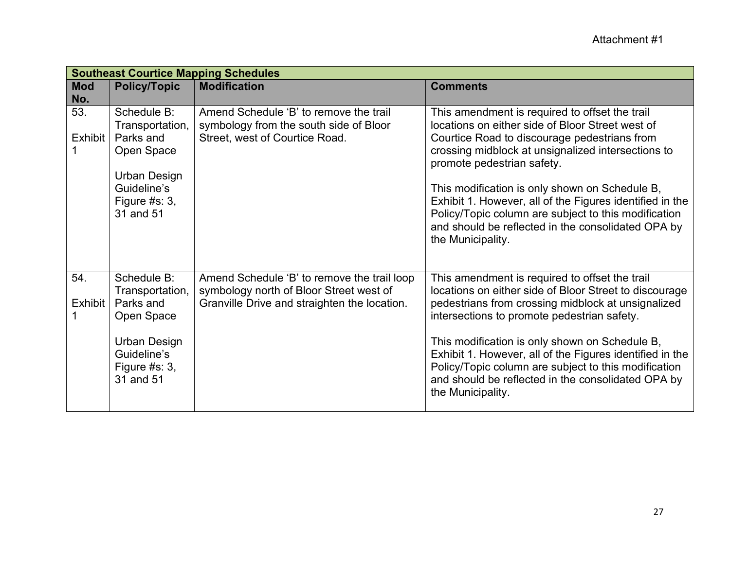|            | <b>Southeast Courtice Mapping Schedules</b> |                                              |                                                                                  |  |
|------------|---------------------------------------------|----------------------------------------------|----------------------------------------------------------------------------------|--|
| <b>Mod</b> | <b>Policy/Topic</b>                         | <b>Modification</b>                          | <b>Comments</b>                                                                  |  |
| No.        |                                             |                                              |                                                                                  |  |
| 53.        | Schedule B:                                 | Amend Schedule 'B' to remove the trail       | This amendment is required to offset the trail                                   |  |
|            | Transportation,                             | symbology from the south side of Bloor       | locations on either side of Bloor Street west of                                 |  |
| Exhibit    | Parks and                                   | Street, west of Courtice Road.               | Courtice Road to discourage pedestrians from                                     |  |
|            | Open Space                                  |                                              | crossing midblock at unsignalized intersections to<br>promote pedestrian safety. |  |
|            | <b>Urban Design</b>                         |                                              |                                                                                  |  |
|            | Guideline's                                 |                                              | This modification is only shown on Schedule B,                                   |  |
|            | Figure $#s: 3,$                             |                                              | Exhibit 1. However, all of the Figures identified in the                         |  |
|            | 31 and 51                                   |                                              | Policy/Topic column are subject to this modification                             |  |
|            |                                             |                                              | and should be reflected in the consolidated OPA by                               |  |
|            |                                             |                                              | the Municipality.                                                                |  |
|            |                                             |                                              |                                                                                  |  |
|            |                                             |                                              |                                                                                  |  |
| 54.        | Schedule B:                                 | Amend Schedule 'B' to remove the trail loop  | This amendment is required to offset the trail                                   |  |
|            | Transportation,                             | symbology north of Bloor Street west of      | locations on either side of Bloor Street to discourage                           |  |
| Exhibit    | Parks and                                   | Granville Drive and straighten the location. | pedestrians from crossing midblock at unsignalized                               |  |
|            | Open Space                                  |                                              | intersections to promote pedestrian safety.                                      |  |
|            |                                             |                                              |                                                                                  |  |
|            | <b>Urban Design</b>                         |                                              | This modification is only shown on Schedule B,                                   |  |
|            | Guideline's                                 |                                              | Exhibit 1. However, all of the Figures identified in the                         |  |
|            | Figure $#s: 3,$                             |                                              | Policy/Topic column are subject to this modification                             |  |
|            | 31 and 51                                   |                                              | and should be reflected in the consolidated OPA by                               |  |
|            |                                             |                                              | the Municipality.                                                                |  |
|            |                                             |                                              |                                                                                  |  |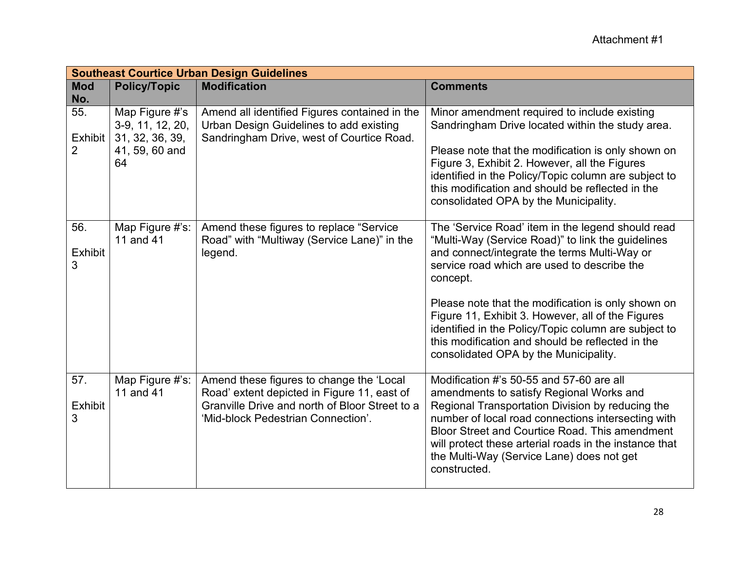|                                  | <b>Southeast Courtice Urban Design Guidelines</b>                             |                                                                                                                                                                                 |                                                                                                                                                                                                                                                                                                                                                                                                                                                                                   |  |
|----------------------------------|-------------------------------------------------------------------------------|---------------------------------------------------------------------------------------------------------------------------------------------------------------------------------|-----------------------------------------------------------------------------------------------------------------------------------------------------------------------------------------------------------------------------------------------------------------------------------------------------------------------------------------------------------------------------------------------------------------------------------------------------------------------------------|--|
| <b>Mod</b><br>No.                | <b>Policy/Topic</b>                                                           | <b>Modification</b>                                                                                                                                                             | <b>Comments</b>                                                                                                                                                                                                                                                                                                                                                                                                                                                                   |  |
| 55.<br>Exhibit<br>$\overline{2}$ | Map Figure #'s<br>3-9, 11, 12, 20,<br>31, 32, 36, 39,<br>41, 59, 60 and<br>64 | Amend all identified Figures contained in the<br>Urban Design Guidelines to add existing<br>Sandringham Drive, west of Courtice Road.                                           | Minor amendment required to include existing<br>Sandringham Drive located within the study area.<br>Please note that the modification is only shown on<br>Figure 3, Exhibit 2. However, all the Figures<br>identified in the Policy/Topic column are subject to<br>this modification and should be reflected in the<br>consolidated OPA by the Municipality.                                                                                                                      |  |
| 56.<br><b>Exhibit</b><br>3       | Map Figure #'s:<br>11 and 41                                                  | Amend these figures to replace "Service"<br>Road" with "Multiway (Service Lane)" in the<br>legend.                                                                              | The 'Service Road' item in the legend should read<br>"Multi-Way (Service Road)" to link the guidelines<br>and connect/integrate the terms Multi-Way or<br>service road which are used to describe the<br>concept.<br>Please note that the modification is only shown on<br>Figure 11, Exhibit 3. However, all of the Figures<br>identified in the Policy/Topic column are subject to<br>this modification and should be reflected in the<br>consolidated OPA by the Municipality. |  |
| 57.<br><b>Exhibit</b><br>3       | Map Figure #'s:<br>11 and 41                                                  | Amend these figures to change the 'Local<br>Road' extent depicted in Figure 11, east of<br>Granville Drive and north of Bloor Street to a<br>'Mid-block Pedestrian Connection'. | Modification #'s 50-55 and 57-60 are all<br>amendments to satisfy Regional Works and<br>Regional Transportation Division by reducing the<br>number of local road connections intersecting with<br><b>Bloor Street and Courtice Road. This amendment</b><br>will protect these arterial roads in the instance that<br>the Multi-Way (Service Lane) does not get<br>constructed.                                                                                                    |  |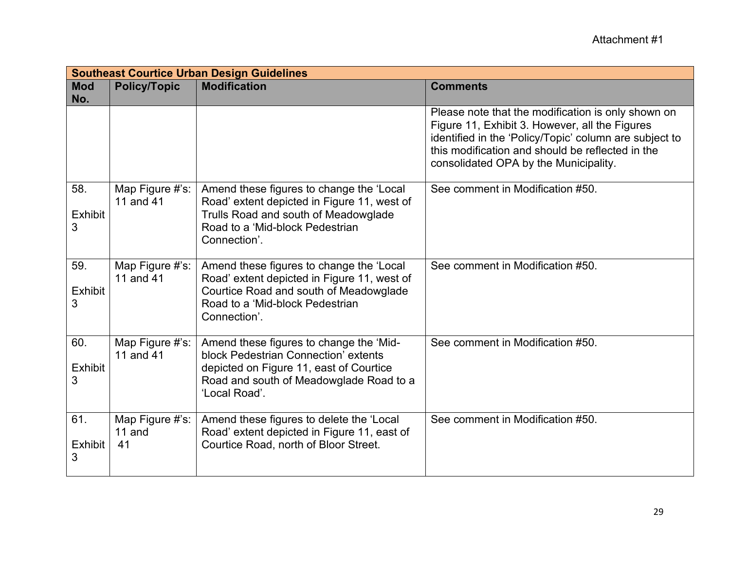|                            | <b>Southeast Courtice Urban Design Guidelines</b> |                                                                                                                                                                                        |                                                                                                                                                                                                                                                             |  |
|----------------------------|---------------------------------------------------|----------------------------------------------------------------------------------------------------------------------------------------------------------------------------------------|-------------------------------------------------------------------------------------------------------------------------------------------------------------------------------------------------------------------------------------------------------------|--|
| <b>Mod</b><br>No.          | <b>Policy/Topic</b>                               | <b>Modification</b>                                                                                                                                                                    | <b>Comments</b>                                                                                                                                                                                                                                             |  |
|                            |                                                   |                                                                                                                                                                                        | Please note that the modification is only shown on<br>Figure 11, Exhibit 3. However, all the Figures<br>identified in the 'Policy/Topic' column are subject to<br>this modification and should be reflected in the<br>consolidated OPA by the Municipality. |  |
| 58.<br><b>Exhibit</b><br>3 | Map Figure #'s:<br>11 and 41                      | Amend these figures to change the 'Local<br>Road' extent depicted in Figure 11, west of<br>Trulls Road and south of Meadowglade<br>Road to a 'Mid-block Pedestrian<br>Connection'.     | See comment in Modification #50.                                                                                                                                                                                                                            |  |
| 59.<br><b>Exhibit</b><br>3 | Map Figure #'s:<br>11 and 41                      | Amend these figures to change the 'Local<br>Road' extent depicted in Figure 11, west of<br>Courtice Road and south of Meadowglade<br>Road to a 'Mid-block Pedestrian<br>Connection'.   | See comment in Modification #50.                                                                                                                                                                                                                            |  |
| 60.<br><b>Exhibit</b><br>3 | Map Figure #'s:<br>11 and 41                      | Amend these figures to change the 'Mid-<br>block Pedestrian Connection' extents<br>depicted on Figure 11, east of Courtice<br>Road and south of Meadowglade Road to a<br>'Local Road'. | See comment in Modification #50.                                                                                                                                                                                                                            |  |
| 61.<br><b>Exhibit</b><br>3 | Map Figure #'s:<br>11 and<br>41                   | Amend these figures to delete the 'Local<br>Road' extent depicted in Figure 11, east of<br>Courtice Road, north of Bloor Street.                                                       | See comment in Modification #50.                                                                                                                                                                                                                            |  |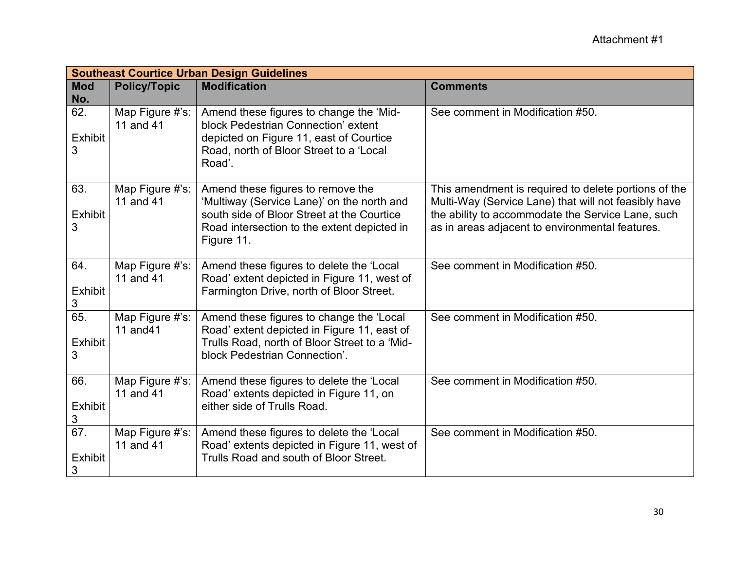|                                         | <b>Southeast Courtice Urban Design Guidelines</b> |                                                                                                                                                                                            |                                                                                                                                                                                                                      |  |  |
|-----------------------------------------|---------------------------------------------------|--------------------------------------------------------------------------------------------------------------------------------------------------------------------------------------------|----------------------------------------------------------------------------------------------------------------------------------------------------------------------------------------------------------------------|--|--|
| <b>Mod</b><br>No.                       | <b>Policy/Topic</b>                               | <b>Modification</b>                                                                                                                                                                        | <b>Comments</b>                                                                                                                                                                                                      |  |  |
| 62.<br><b>Exhibit</b><br>3              | Map Figure #'s:<br>11 and 41                      | Amend these figures to change the 'Mid-<br>block Pedestrian Connection' extent<br>depicted on Figure 11, east of Courtice<br>Road, north of Bloor Street to a 'Local<br>Road'.             | See comment in Modification #50.                                                                                                                                                                                     |  |  |
| 63.<br><b>Exhibit</b><br>3              | Map Figure #'s:<br>11 and 41                      | Amend these figures to remove the<br>'Multiway (Service Lane)' on the north and<br>south side of Bloor Street at the Courtice<br>Road intersection to the extent depicted in<br>Figure 11. | This amendment is required to delete portions of the<br>Multi-Way (Service Lane) that will not feasibly have<br>the ability to accommodate the Service Lane, such<br>as in areas adjacent to environmental features. |  |  |
| 64.<br><b>Exhibit</b><br>3              | Map Figure #'s:<br>11 and 41                      | Amend these figures to delete the 'Local<br>Road' extent depicted in Figure 11, west of<br>Farmington Drive, north of Bloor Street.                                                        | See comment in Modification #50.                                                                                                                                                                                     |  |  |
| 65.<br><b>Exhibit</b><br>3              | Map Figure #'s:<br>11 and 41                      | Amend these figures to change the 'Local<br>Road' extent depicted in Figure 11, east of<br>Trulls Road, north of Bloor Street to a 'Mid-<br>block Pedestrian Connection'.                  | See comment in Modification #50.                                                                                                                                                                                     |  |  |
| 66.<br><b>Exhibit</b><br>$\mathfrak{S}$ | Map Figure #'s:<br>11 and 41                      | Amend these figures to delete the 'Local<br>Road' extents depicted in Figure 11, on<br>either side of Trulls Road.                                                                         | See comment in Modification #50.                                                                                                                                                                                     |  |  |
| 67.<br><b>Exhibit</b><br>3              | Map Figure #'s:<br>11 and 41                      | Amend these figures to delete the 'Local<br>Road' extents depicted in Figure 11, west of<br>Trulls Road and south of Bloor Street.                                                         | See comment in Modification #50.                                                                                                                                                                                     |  |  |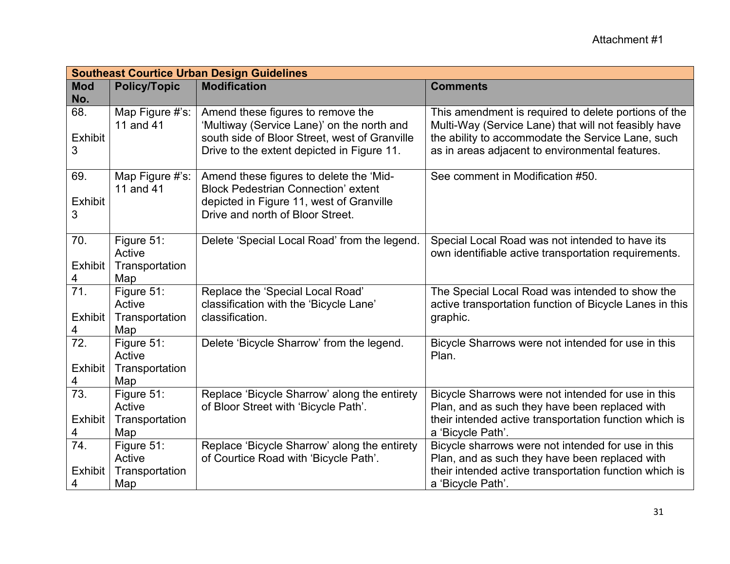|                                   | <b>Southeast Courtice Urban Design Guidelines</b> |                                                                                                                                                                                |                                                                                                                                                                                                                      |  |
|-----------------------------------|---------------------------------------------------|--------------------------------------------------------------------------------------------------------------------------------------------------------------------------------|----------------------------------------------------------------------------------------------------------------------------------------------------------------------------------------------------------------------|--|
| <b>Mod</b><br>No.                 | <b>Policy/Topic</b>                               | <b>Modification</b>                                                                                                                                                            | <b>Comments</b>                                                                                                                                                                                                      |  |
| 68.<br><b>Exhibit</b><br>3        | Map Figure #'s:<br>11 and 41                      | Amend these figures to remove the<br>'Multiway (Service Lane)' on the north and<br>south side of Bloor Street, west of Granville<br>Drive to the extent depicted in Figure 11. | This amendment is required to delete portions of the<br>Multi-Way (Service Lane) that will not feasibly have<br>the ability to accommodate the Service Lane, such<br>as in areas adjacent to environmental features. |  |
| 69.<br><b>Exhibit</b><br>3        | Map Figure #'s:<br>11 and 41                      | Amend these figures to delete the 'Mid-<br><b>Block Pedestrian Connection' extent</b><br>depicted in Figure 11, west of Granville<br>Drive and north of Bloor Street.          | See comment in Modification #50.                                                                                                                                                                                     |  |
| 70.<br><b>Exhibit</b><br>4        | Figure 51:<br>Active<br>Transportation<br>Map     | Delete 'Special Local Road' from the legend.                                                                                                                                   | Special Local Road was not intended to have its<br>own identifiable active transportation requirements.                                                                                                              |  |
| 71.<br><b>Exhibit</b><br>4        | Figure 51:<br>Active<br>Transportation<br>Map     | Replace the 'Special Local Road'<br>classification with the 'Bicycle Lane'<br>classification.                                                                                  | The Special Local Road was intended to show the<br>active transportation function of Bicycle Lanes in this<br>graphic.                                                                                               |  |
| $\overline{72}$ .<br>Exhibit<br>4 | Figure 51:<br>Active<br>Transportation<br>Map     | Delete 'Bicycle Sharrow' from the legend.                                                                                                                                      | Bicycle Sharrows were not intended for use in this<br>Plan.                                                                                                                                                          |  |
| 73.<br><b>Exhibit</b><br>4        | Figure 51:<br>Active<br>Transportation<br>Map     | Replace 'Bicycle Sharrow' along the entirety<br>of Bloor Street with 'Bicycle Path'.                                                                                           | Bicycle Sharrows were not intended for use in this<br>Plan, and as such they have been replaced with<br>their intended active transportation function which is<br>a 'Bicycle Path'.                                  |  |
| 74.<br><b>Exhibit</b><br>4        | Figure 51:<br>Active<br>Transportation<br>Map     | Replace 'Bicycle Sharrow' along the entirety<br>of Courtice Road with 'Bicycle Path'.                                                                                          | Bicycle sharrows were not intended for use in this<br>Plan, and as such they have been replaced with<br>their intended active transportation function which is<br>a 'Bicycle Path'.                                  |  |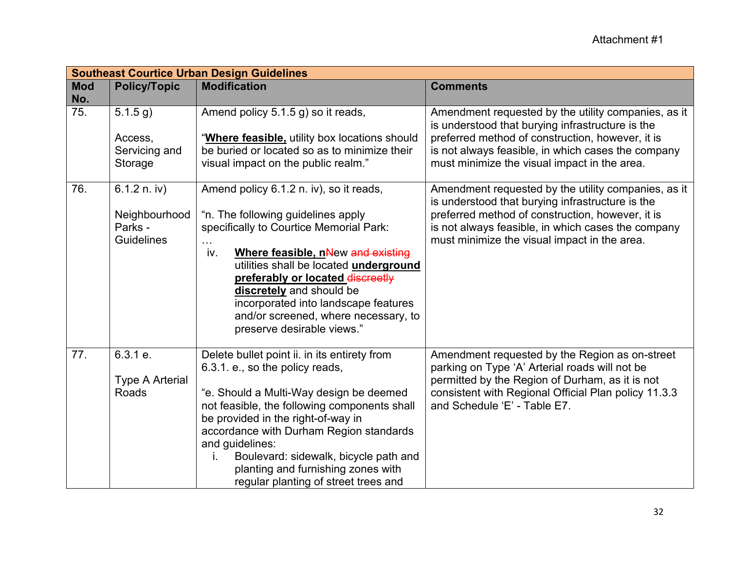|                   | <b>Southeast Courtice Urban Design Guidelines</b> |                                                                            |                                                                                                         |  |
|-------------------|---------------------------------------------------|----------------------------------------------------------------------------|---------------------------------------------------------------------------------------------------------|--|
| <b>Mod</b><br>No. | <b>Policy/Topic</b>                               | <b>Modification</b>                                                        | <b>Comments</b>                                                                                         |  |
| 75.               | 5.1.5 g)                                          | Amend policy 5.1.5 g) so it reads,                                         | Amendment requested by the utility companies, as it<br>is understood that burying infrastructure is the |  |
|                   | Access,                                           | "Where feasible, utility box locations should                              | preferred method of construction, however, it is                                                        |  |
|                   | Servicing and                                     | be buried or located so as to minimize their                               | is not always feasible, in which cases the company                                                      |  |
|                   | Storage                                           | visual impact on the public realm."                                        | must minimize the visual impact in the area.                                                            |  |
| 76.               | 6.1.2 n. iv)                                      | Amend policy 6.1.2 n. iv), so it reads,                                    | Amendment requested by the utility companies, as it<br>is understood that burying infrastructure is the |  |
|                   | Neighbourhood                                     | "n. The following guidelines apply                                         | preferred method of construction, however, it is                                                        |  |
|                   | Parks -                                           | specifically to Courtice Memorial Park:                                    | is not always feasible, in which cases the company                                                      |  |
|                   | <b>Guidelines</b>                                 |                                                                            | must minimize the visual impact in the area.                                                            |  |
|                   |                                                   | iv.<br>Where feasible, nNew and existing                                   |                                                                                                         |  |
|                   |                                                   | utilities shall be located underground<br>preferably or located discreetly |                                                                                                         |  |
|                   |                                                   | discretely and should be                                                   |                                                                                                         |  |
|                   |                                                   | incorporated into landscape features                                       |                                                                                                         |  |
|                   |                                                   | and/or screened, where necessary, to                                       |                                                                                                         |  |
|                   |                                                   | preserve desirable views."                                                 |                                                                                                         |  |
| 77.               | 6.3.1 e.                                          | Delete bullet point ii. in its entirety from                               | Amendment requested by the Region as on-street                                                          |  |
|                   |                                                   | 6.3.1. e., so the policy reads,                                            | parking on Type 'A' Arterial roads will not be                                                          |  |
|                   | <b>Type A Arterial</b><br>Roads                   | "e. Should a Multi-Way design be deemed                                    | permitted by the Region of Durham, as it is not<br>consistent with Regional Official Plan policy 11.3.3 |  |
|                   |                                                   | not feasible, the following components shall                               | and Schedule 'E' - Table E7.                                                                            |  |
|                   |                                                   | be provided in the right-of-way in                                         |                                                                                                         |  |
|                   |                                                   | accordance with Durham Region standards                                    |                                                                                                         |  |
|                   |                                                   | and guidelines:                                                            |                                                                                                         |  |
|                   |                                                   | Boulevard: sidewalk, bicycle path and<br>İ.                                |                                                                                                         |  |
|                   |                                                   | planting and furnishing zones with                                         |                                                                                                         |  |
|                   |                                                   | regular planting of street trees and                                       |                                                                                                         |  |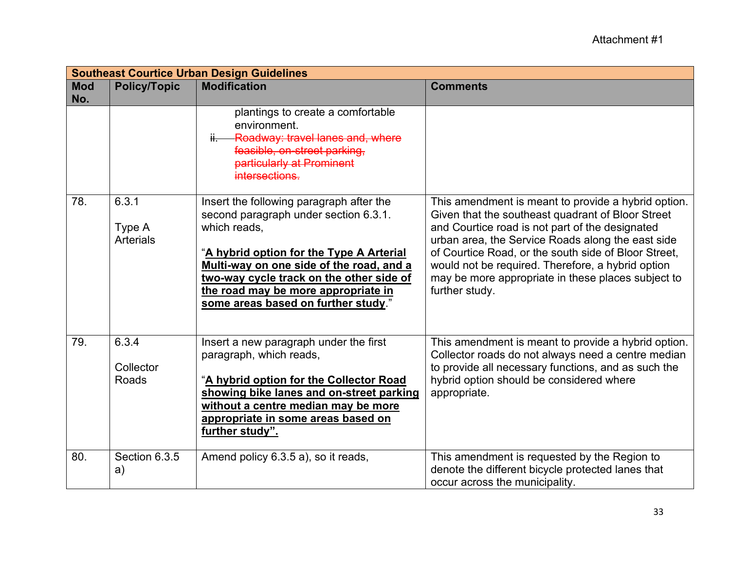|                   | <b>Southeast Courtice Urban Design Guidelines</b> |                                                                                                                                                                                                                                                                                                                     |                                                                                                                                                                                                                                                                                                                                                                                                       |  |
|-------------------|---------------------------------------------------|---------------------------------------------------------------------------------------------------------------------------------------------------------------------------------------------------------------------------------------------------------------------------------------------------------------------|-------------------------------------------------------------------------------------------------------------------------------------------------------------------------------------------------------------------------------------------------------------------------------------------------------------------------------------------------------------------------------------------------------|--|
| <b>Mod</b><br>No. | <b>Policy/Topic</b>                               | <b>Modification</b>                                                                                                                                                                                                                                                                                                 | <b>Comments</b>                                                                                                                                                                                                                                                                                                                                                                                       |  |
|                   |                                                   | plantings to create a comfortable<br>environment.<br><b>Roadway: travel lanes and, where</b><br>feasible, on-street parking,<br>particularly at Prominent<br>intersections.                                                                                                                                         |                                                                                                                                                                                                                                                                                                                                                                                                       |  |
| 78.               | 6.3.1<br>Type A<br><b>Arterials</b>               | Insert the following paragraph after the<br>second paragraph under section 6.3.1.<br>which reads,<br>"A hybrid option for the Type A Arterial<br>Multi-way on one side of the road, and a<br>two-way cycle track on the other side of<br>the road may be more appropriate in<br>some areas based on further study." | This amendment is meant to provide a hybrid option.<br>Given that the southeast quadrant of Bloor Street<br>and Courtice road is not part of the designated<br>urban area, the Service Roads along the east side<br>of Courtice Road, or the south side of Bloor Street,<br>would not be required. Therefore, a hybrid option<br>may be more appropriate in these places subject to<br>further study. |  |
| 79.               | 6.3.4<br>Collector<br>Roads                       | Insert a new paragraph under the first<br>paragraph, which reads,<br>"A hybrid option for the Collector Road<br>showing bike lanes and on-street parking<br>without a centre median may be more<br>appropriate in some areas based on<br>further study".                                                            | This amendment is meant to provide a hybrid option.<br>Collector roads do not always need a centre median<br>to provide all necessary functions, and as such the<br>hybrid option should be considered where<br>appropriate.                                                                                                                                                                          |  |
| 80.               | Section 6.3.5<br>a)                               | Amend policy 6.3.5 a), so it reads,                                                                                                                                                                                                                                                                                 | This amendment is requested by the Region to<br>denote the different bicycle protected lanes that<br>occur across the municipality.                                                                                                                                                                                                                                                                   |  |